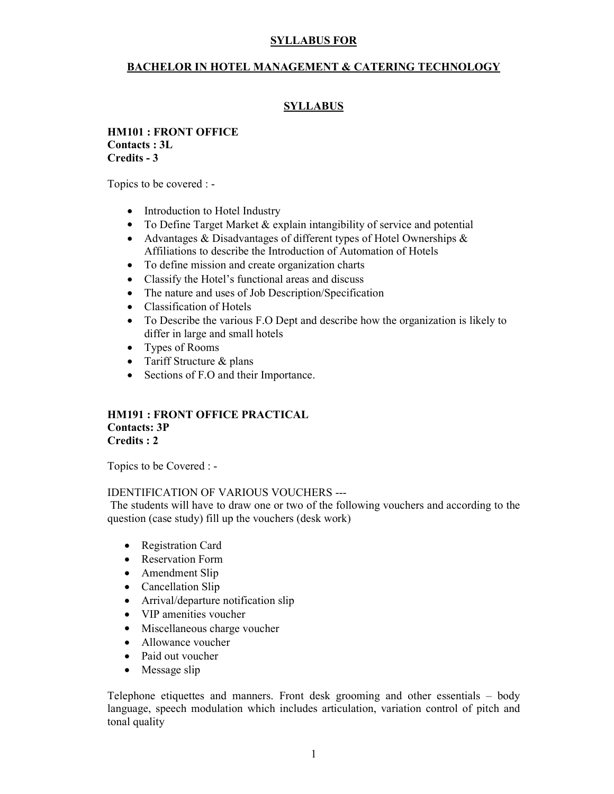#### BACHELOR IN HOTEL MANAGEMENT & CATERING TECHNOLOGY

#### **SYLLABUS**

#### HM101 : FRONT OFFICE Contacts : 3L Credits - 3

Topics to be covered : -

- Introduction to Hotel Industry
- To Define Target Market & explain intangibility of service and potential
- Advantages & Disadvantages of different types of Hotel Ownerships & Affiliations to describe the Introduction of Automation of Hotels
- To define mission and create organization charts
- Classify the Hotel's functional areas and discuss
- The nature and uses of Job Description/Specification
- Classification of Hotels
- To Describe the various F.O Dept and describe how the organization is likely to differ in large and small hotels
- Types of Rooms
- Tariff Structure & plans
- Sections of F.O and their Importance.

#### HM191 : FRONT OFFICE PRACTICAL Contacts: 3P Credits : 2

Topics to be Covered : -

#### IDENTIFICATION OF VARIOUS VOUCHERS ---

 The students will have to draw one or two of the following vouchers and according to the question (case study) fill up the vouchers (desk work)

- Registration Card
- Reservation Form
- Amendment Slip
- Cancellation Slip
- Arrival/departure notification slip
- VIP amenities voucher
- Miscellaneous charge voucher
- Allowance voucher
- Paid out voucher
- Message slip

Telephone etiquettes and manners. Front desk grooming and other essentials – body language, speech modulation which includes articulation, variation control of pitch and tonal quality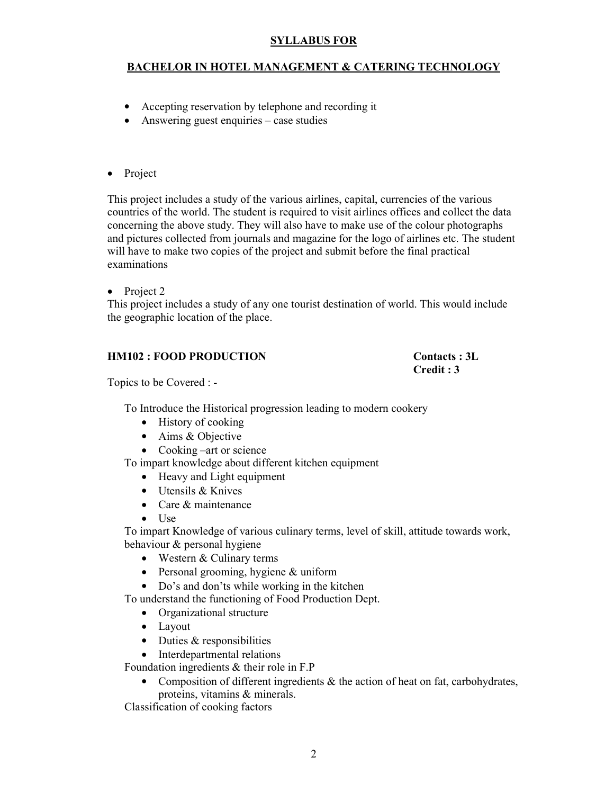#### BACHELOR IN HOTEL MANAGEMENT & CATERING TECHNOLOGY

- Accepting reservation by telephone and recording it
- Answering guest enquiries case studies

#### • Project

This project includes a study of the various airlines, capital, currencies of the various countries of the world. The student is required to visit airlines offices and collect the data concerning the above study. They will also have to make use of the colour photographs and pictures collected from journals and magazine for the logo of airlines etc. The student will have to make two copies of the project and submit before the final practical examinations

• Project 2

This project includes a study of any one tourist destination of world. This would include the geographic location of the place.

#### HM102 : FOOD PRODUCTION Contacts : 3L

# Credit : 3

Topics to be Covered : -

To Introduce the Historical progression leading to modern cookery

- History of cooking
- Aims & Objective
- Cooking –art or science

To impart knowledge about different kitchen equipment

- Heavy and Light equipment
- Utensils & Knives
- Care & maintenance
- Use

To impart Knowledge of various culinary terms, level of skill, attitude towards work, behaviour & personal hygiene

- Western & Culinary terms
- Personal grooming, hygiene & uniform
- Do's and don'ts while working in the kitchen

To understand the functioning of Food Production Dept.

- Organizational structure
- Layout
- Duties & responsibilities
- Interdepartmental relations

Foundation ingredients & their role in F.P

• Composition of different ingredients  $\&$  the action of heat on fat, carbohydrates, proteins, vitamins & minerals.

Classification of cooking factors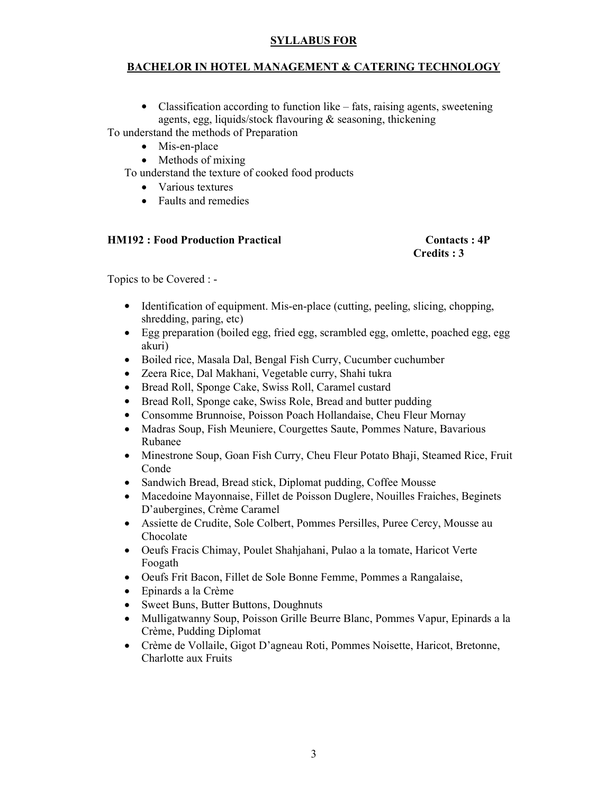#### BACHELOR IN HOTEL MANAGEMENT & CATERING TECHNOLOGY

• Classification according to function like – fats, raising agents, sweetening agents, egg, liquids/stock flavouring & seasoning, thickening

To understand the methods of Preparation

- Mis-en-place
- Methods of mixing

To understand the texture of cooked food products

- Various textures
- Faults and remedies

#### HM192 : Food Production Practical Contacts : 4P

# Credits : 3

Topics to be Covered : -

- Identification of equipment. Mis-en-place (cutting, peeling, slicing, chopping, shredding, paring, etc)
- Egg preparation (boiled egg, fried egg, scrambled egg, omlette, poached egg, egg akuri)
- Boiled rice, Masala Dal, Bengal Fish Curry, Cucumber cuchumber
- Zeera Rice, Dal Makhani, Vegetable curry, Shahi tukra
- Bread Roll, Sponge Cake, Swiss Roll, Caramel custard
- Bread Roll, Sponge cake, Swiss Role, Bread and butter pudding
- Consomme Brunnoise, Poisson Poach Hollandaise, Cheu Fleur Mornay
- Madras Soup, Fish Meuniere, Courgettes Saute, Pommes Nature, Bavarious Rubanee
- Minestrone Soup, Goan Fish Curry, Cheu Fleur Potato Bhaji, Steamed Rice, Fruit Conde
- Sandwich Bread, Bread stick, Diplomat pudding, Coffee Mousse
- Macedoine Mayonnaise, Fillet de Poisson Duglere, Nouilles Fraiches, Beginets D'aubergines, Crème Caramel
- Assiette de Crudite, Sole Colbert, Pommes Persilles, Puree Cercy, Mousse au Chocolate
- Oeufs Fracis Chimay, Poulet Shahjahani, Pulao a la tomate, Haricot Verte Foogath
- Oeufs Frit Bacon, Fillet de Sole Bonne Femme, Pommes a Rangalaise,
- Epinards a la Crème
- Sweet Buns, Butter Buttons, Doughnuts
- Mulligatwanny Soup, Poisson Grille Beurre Blanc, Pommes Vapur, Epinards a la Crème, Pudding Diplomat
- Crème de Vollaile, Gigot D'agneau Roti, Pommes Noisette, Haricot, Bretonne, Charlotte aux Fruits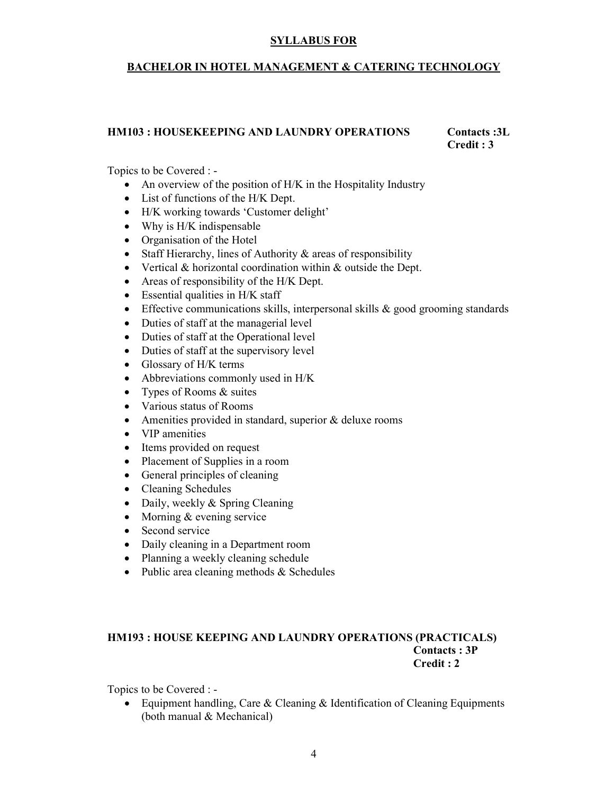#### BACHELOR IN HOTEL MANAGEMENT & CATERING TECHNOLOGY

#### HM103 : HOUSEKEEPING AND LAUNDRY OPERATIONS Contacts :3L

Credit : 3

Topics to be Covered : -

- An overview of the position of H/K in the Hospitality Industry
- List of functions of the H/K Dept.
- H/K working towards 'Customer delight'
- Why is H/K indispensable
- Organisation of the Hotel
- Staff Hierarchy, lines of Authority & areas of responsibility
- Vertical & horizontal coordination within & outside the Dept.
- Areas of responsibility of the H/K Dept.
- Essential qualities in H/K staff
- Effective communications skills, interpersonal skills & good grooming standards
- Duties of staff at the managerial level
- Duties of staff at the Operational level
- Duties of staff at the supervisory level
- Glossary of H/K terms
- Abbreviations commonly used in H/K
- Types of Rooms & suites
- Various status of Rooms
- Amenities provided in standard, superior & deluxe rooms
- VIP amenities
- Items provided on request
- Placement of Supplies in a room
- General principles of cleaning
- Cleaning Schedules
- Daily, weekly & Spring Cleaning
- Morning & evening service
- Second service
- Daily cleaning in a Department room
- Planning a weekly cleaning schedule
- Public area cleaning methods & Schedules

#### HM193 : HOUSE KEEPING AND LAUNDRY OPERATIONS (PRACTICALS) Contacts : 3P Credit : 2

Topics to be Covered : -

• Equipment handling, Care & Cleaning & Identification of Cleaning Equipments (both manual & Mechanical)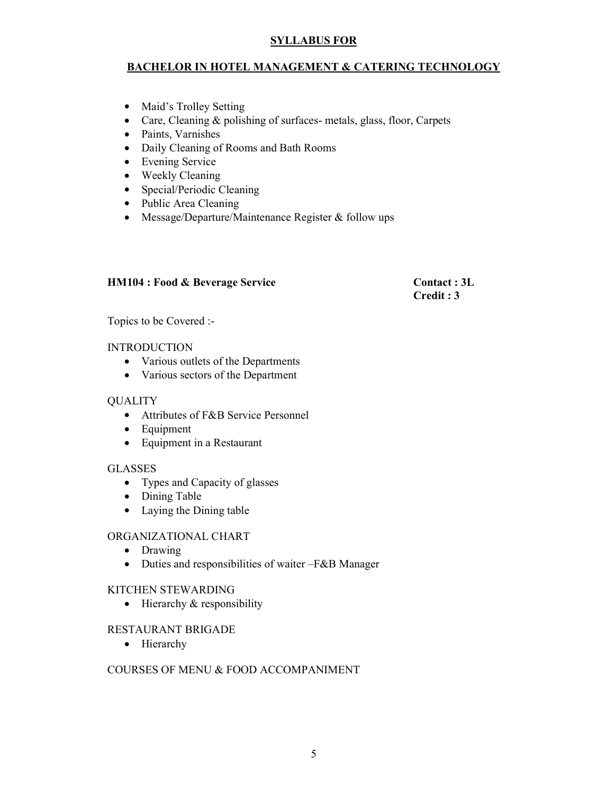#### BACHELOR IN HOTEL MANAGEMENT & CATERING TECHNOLOGY

- Maid's Trolley Setting
- Care, Cleaning & polishing of surfaces- metals, glass, floor, Carpets
- Paints, Varnishes
- Daily Cleaning of Rooms and Bath Rooms
- Evening Service
- Weekly Cleaning
- Special/Periodic Cleaning
- Public Area Cleaning
- Message/Departure/Maintenance Register & follow ups

#### HM104 : Food & Beverage Service Contact : 3L

Credit : 3

Topics to be Covered :-

#### INTRODUCTION

- Various outlets of the Departments
- Various sectors of the Department

#### **OUALITY**

- Attributes of F&B Service Personnel
- Equipment
- Equipment in a Restaurant

#### GLASSES

- Types and Capacity of glasses
- Dining Table
- Laying the Dining table

#### ORGANIZATIONAL CHART

- Drawing
- Duties and responsibilities of waiter –F&B Manager

#### KITCHEN STEWARDING

• Hierarchy & responsibility

#### RESTAURANT BRIGADE

• Hierarchy

#### COURSES OF MENU & FOOD ACCOMPANIMENT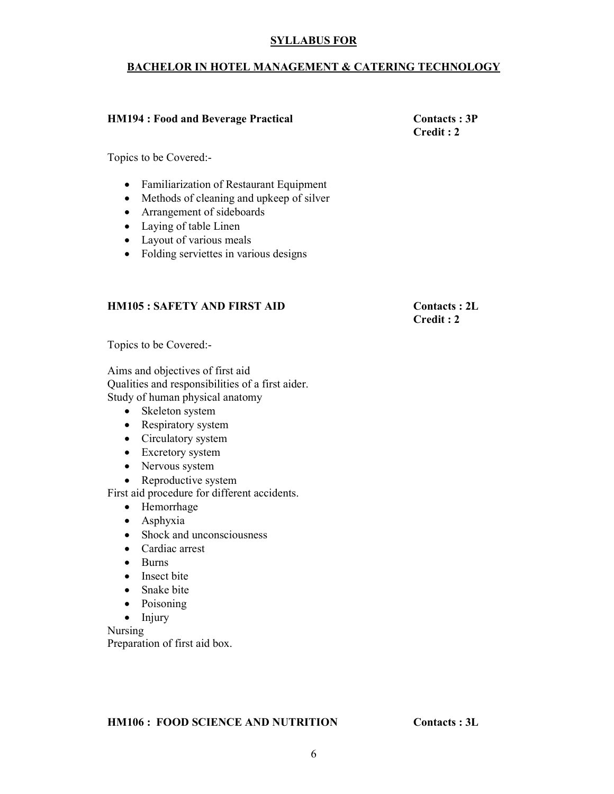#### BACHELOR IN HOTEL MANAGEMENT & CATERING TECHNOLOGY

#### HM194 : Food and Beverage Practical Contacts : 3P

Credit : 2

Topics to be Covered:-

- Familiarization of Restaurant Equipment
- Methods of cleaning and upkeep of silver
- Arrangement of sideboards
- Laying of table Linen
- Layout of various meals
- Folding serviettes in various designs

#### HM105 : SAFETY AND FIRST AID Contacts : 2L

Credit : 2

Topics to be Covered:-

Aims and objectives of first aid Qualities and responsibilities of a first aider. Study of human physical anatomy

- Skeleton system
- Respiratory system
- Circulatory system
- Excretory system
- Nervous system
- Reproductive system

First aid procedure for different accidents.

- Hemorrhage
- Asphyxia
- Shock and unconsciousness
- Cardiac arrest
- Burns
- Insect bite
- Snake bite
- Poisoning
- Injury

Nursing Preparation of first aid box.

HM106 : FOOD SCIENCE AND NUTRITION Contacts : 3L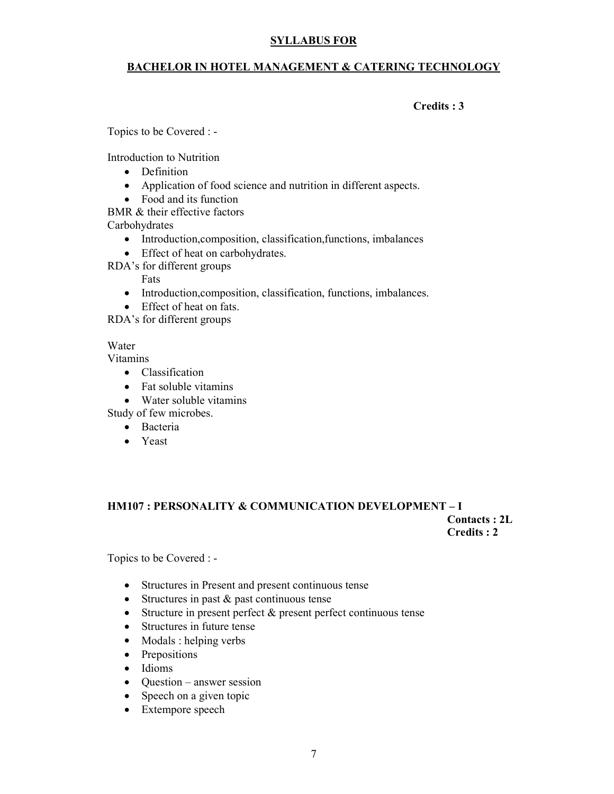#### BACHELOR IN HOTEL MANAGEMENT & CATERING TECHNOLOGY

#### Credits : 3

Topics to be Covered : -

Introduction to Nutrition

- Definition
- Application of food science and nutrition in different aspects.
- Food and its function
- BMR & their effective factors

Carbohydrates

- Introduction,composition, classification,functions, imbalances
- Effect of heat on carbohydrates.

RDA's for different groups

#### Fats

- Introduction,composition, classification, functions, imbalances.
- Effect of heat on fats.

RDA's for different groups

#### Water

Vitamins

- Classification
- Fat soluble vitamins
- Water soluble vitamins

Study of few microbes.

- Bacteria
- Yeast

#### HM107 : PERSONALITY & COMMUNICATION DEVELOPMENT – I Contacts : 2L

Credits : 2

Topics to be Covered : -

- Structures in Present and present continuous tense
- Structures in past & past continuous tense
- Structure in present perfect & present perfect continuous tense
- Structures in future tense
- Modals : helping verbs
- Prepositions
- Idioms
- Question answer session
- Speech on a given topic
- Extempore speech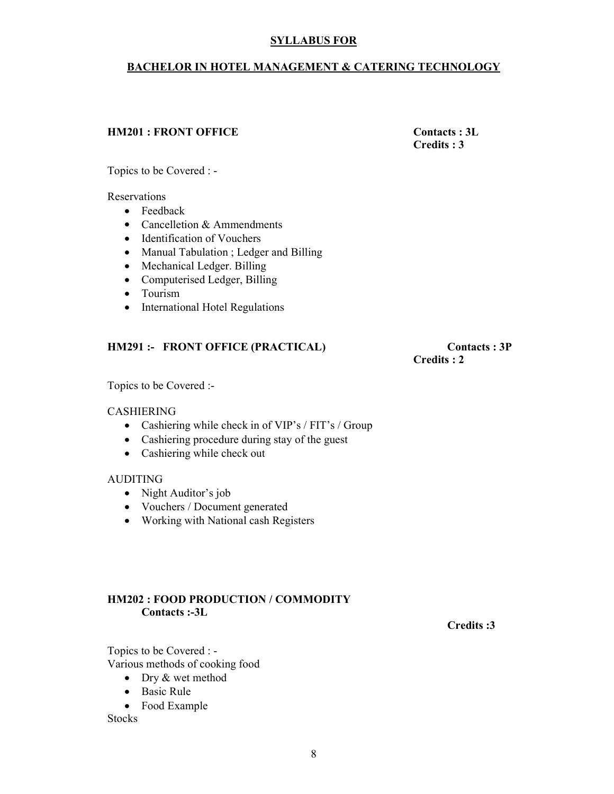#### BACHELOR IN HOTEL MANAGEMENT & CATERING TECHNOLOGY

#### HM201 : FRONT OFFICE Contacts : 3L

Credits : 3

Topics to be Covered : -

Reservations

- Feedback
- Cancelletion & Ammendments
- Identification of Vouchers
- Manual Tabulation ; Ledger and Billing
- Mechanical Ledger. Billing
- Computerised Ledger, Billing
- Tourism
- International Hotel Regulations

#### HM291 :- FRONT OFFICE (PRACTICAL) Contacts : 3P

Credits : 2

Topics to be Covered :-

#### **CASHIERING**

- Cashiering while check in of VIP's / FIT's / Group
- Cashiering procedure during stay of the guest
- Cashiering while check out

#### AUDITING

- Night Auditor's job
- Vouchers / Document generated
- Working with National cash Registers

#### HM202 : FOOD PRODUCTION / COMMODITY Contacts :-3L

Credits :3

Topics to be Covered : - Various methods of cooking food

- Dry & wet method
- Basic Rule
- Food Example

**Stocks**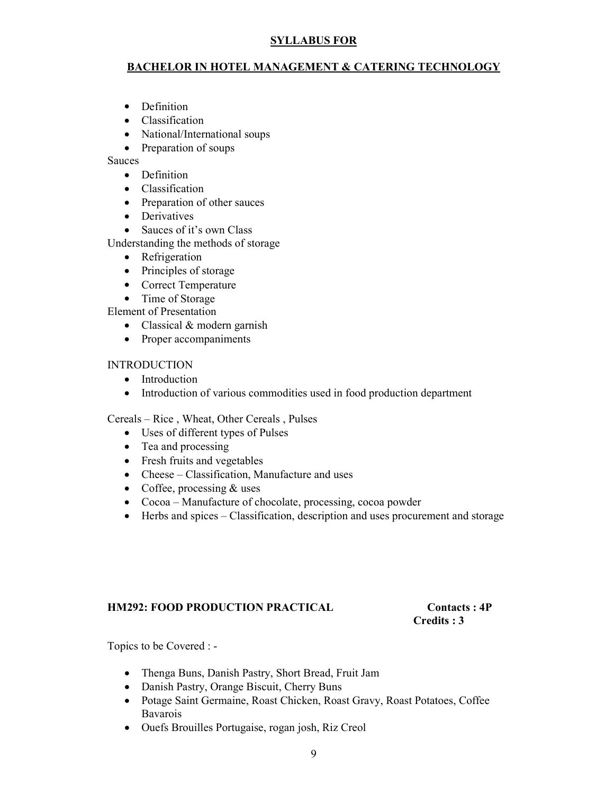#### BACHELOR IN HOTEL MANAGEMENT & CATERING TECHNOLOGY

- Definition
- Classification
- National/International soups
- Preparation of soups

Sauces

- Definition
- Classification
- Preparation of other sauces
- Derivatives
- Sauces of it's own Class

Understanding the methods of storage

- Refrigeration
- Principles of storage
- Correct Temperature
- Time of Storage
- Element of Presentation
	- Classical & modern garnish
	- Proper accompaniments

#### INTRODUCTION

- Introduction
- Introduction of various commodities used in food production department

Cereals – Rice , Wheat, Other Cereals , Pulses

- Uses of different types of Pulses
- Tea and processing
- Fresh fruits and vegetables
- Cheese Classification, Manufacture and uses
- Coffee, processing & uses
- Cocoa Manufacture of chocolate, processing, cocoa powder
- Herbs and spices Classification, description and uses procurement and storage

#### HM292: FOOD PRODUCTION PRACTICAL Contacts : 4P

# Credits : 3

Topics to be Covered : -

- Thenga Buns, Danish Pastry, Short Bread, Fruit Jam
- Danish Pastry, Orange Biscuit, Cherry Buns
- Potage Saint Germaine, Roast Chicken, Roast Gravy, Roast Potatoes, Coffee Bavarois
- Ouefs Brouilles Portugaise, rogan josh, Riz Creol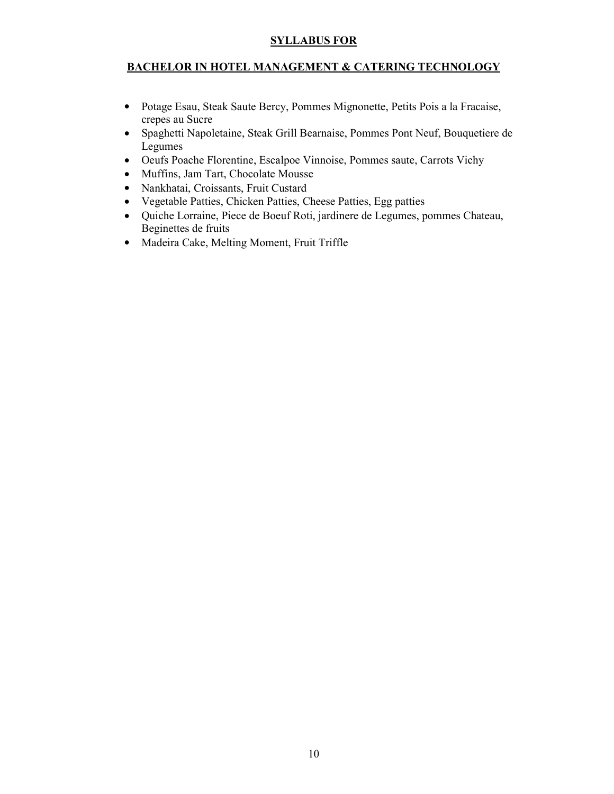#### BACHELOR IN HOTEL MANAGEMENT & CATERING TECHNOLOGY

- Potage Esau, Steak Saute Bercy, Pommes Mignonette, Petits Pois a la Fracaise, crepes au Sucre
- Spaghetti Napoletaine, Steak Grill Bearnaise, Pommes Pont Neuf, Bouquetiere de Legumes
- Oeufs Poache Florentine, Escalpoe Vinnoise, Pommes saute, Carrots Vichy
- Muffins, Jam Tart, Chocolate Mousse
- Nankhatai, Croissants, Fruit Custard
- Vegetable Patties, Chicken Patties, Cheese Patties, Egg patties
- Quiche Lorraine, Piece de Boeuf Roti, jardinere de Legumes, pommes Chateau, Beginettes de fruits
- Madeira Cake, Melting Moment, Fruit Triffle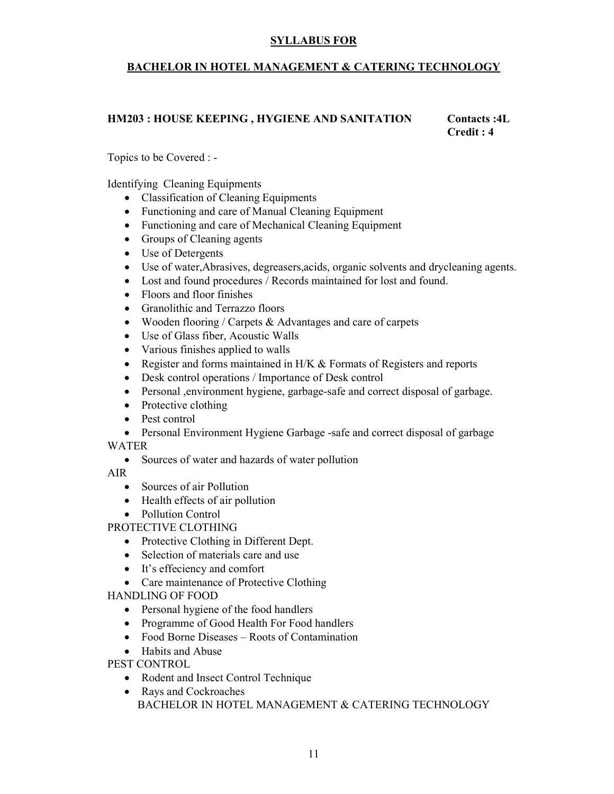#### BACHELOR IN HOTEL MANAGEMENT & CATERING TECHNOLOGY

#### HM203 : HOUSE KEEPING , HYGIENE AND SANITATION Contacts :4L

Credit : 4

Topics to be Covered : -

Identifying Cleaning Equipments

- Classification of Cleaning Equipments
- Functioning and care of Manual Cleaning Equipment
- Functioning and care of Mechanical Cleaning Equipment
- Groups of Cleaning agents
- Use of Detergents
- Use of water,Abrasives, degreasers,acids, organic solvents and drycleaning agents.
- Lost and found procedures / Records maintained for lost and found.
- Floors and floor finishes
- Granolithic and Terrazzo floors
- Wooden flooring / Carpets  $&$  Advantages and care of carpets
- Use of Glass fiber, Acoustic Walls
- Various finishes applied to walls
- Register and forms maintained in H/K & Formats of Registers and reports
- Desk control operations / Importance of Desk control
- Personal ,environment hygiene, garbage-safe and correct disposal of garbage.
- Protective clothing
- Pest control
- Personal Environment Hygiene Garbage -safe and correct disposal of garbage WATER
	- Sources of water and hazards of water pollution

AIR

- Sources of air Pollution
- Health effects of air pollution
- Pollution Control

PROTECTIVE CLOTHING

- Protective Clothing in Different Dept.
- Selection of materials care and use
- It's effeciency and comfort
- Care maintenance of Protective Clothing

HANDLING OF FOOD

- Personal hygiene of the food handlers
- Programme of Good Health For Food handlers
- Food Borne Diseases Roots of Contamination
- Habits and Abuse

PEST CONTROL

- Rodent and Insect Control Technique
- Rays and Cockroaches BACHELOR IN HOTEL MANAGEMENT & CATERING TECHNOLOGY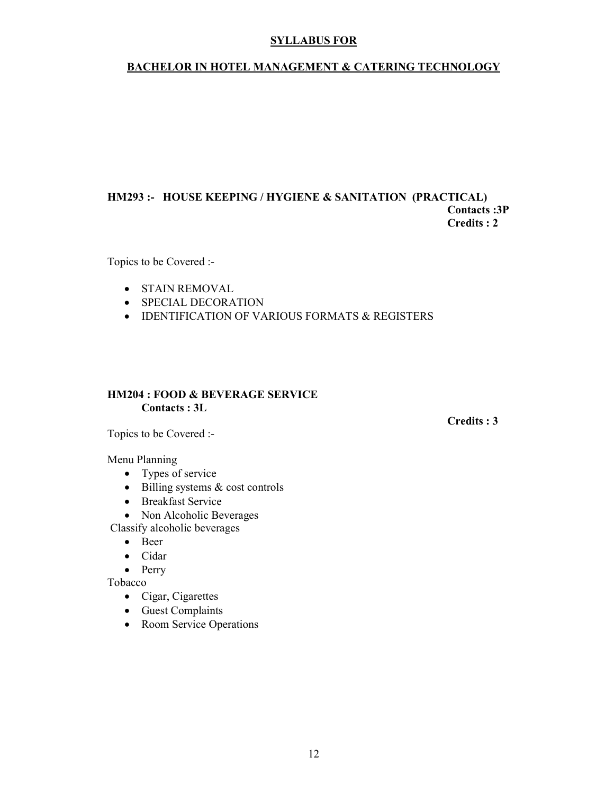#### BACHELOR IN HOTEL MANAGEMENT & CATERING TECHNOLOGY

#### HM293 :- HOUSE KEEPING / HYGIENE & SANITATION (PRACTICAL) Contacts :3P Credits : 2

Topics to be Covered :-

- STAIN REMOVAL
- SPECIAL DECORATION
- IDENTIFICATION OF VARIOUS FORMATS & REGISTERS

#### HM204 : FOOD & BEVERAGE SERVICE Contacts : 3L

Topics to be Covered :-

#### Menu Planning

- Types of service
- $\bullet$  Billing systems & cost controls
- Breakfast Service
- Non Alcoholic Beverages

Classify alcoholic beverages

- Beer
- Cidar
- Perry

Tobacco

- Cigar, Cigarettes
- Guest Complaints
- Room Service Operations

Credits : 3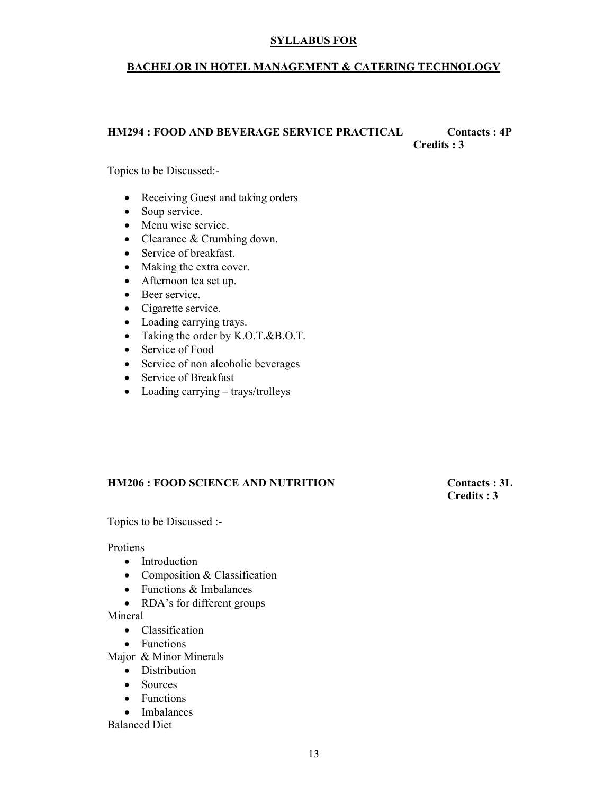#### BACHELOR IN HOTEL MANAGEMENT & CATERING TECHNOLOGY

#### HM294 : FOOD AND BEVERAGE SERVICE PRACTICAL Contacts : 4P Credits : 3

Topics to be Discussed:-

- Receiving Guest and taking orders
- Soup service.
- Menu wise service.
- Clearance & Crumbing down.
- Service of breakfast.
- Making the extra cover.
- Afternoon tea set up.
- Beer service.
- Cigarette service.
- Loading carrying trays.
- Taking the order by K.O.T.&B.O.T.
- Service of Food
- Service of non alcoholic beverages
- Service of Breakfast
- Loading carrying trays/trolleys

#### HM206 : FOOD SCIENCE AND NUTRITION Contacts : 3L

Credits : 3

Topics to be Discussed :-

Protiens

- Introduction
- Composition & Classification
- Functions & Imbalances
- RDA's for different groups

Mineral

- Classification
- Functions
- Major & Minor Minerals
	- Distribution
	- Sources
	- Functions
	- Imbalances

Balanced Diet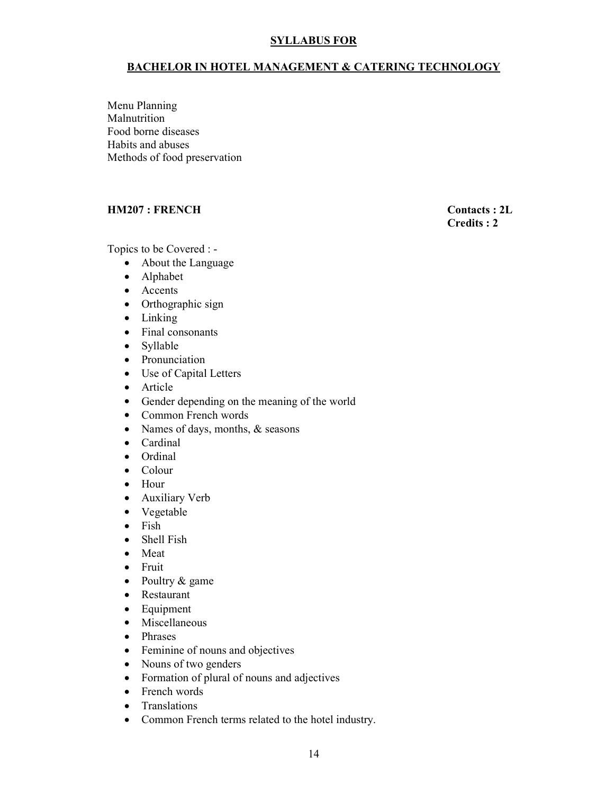#### BACHELOR IN HOTEL MANAGEMENT & CATERING TECHNOLOGY

Menu Planning Malnutrition Food borne diseases Habits and abuses Methods of food preservation

#### HM207 : FRENCH Contacts : 2L

Credits : 2

Topics to be Covered : -

- About the Language
- Alphabet
- Accents
- Orthographic sign
- Linking
- Final consonants
- Syllable
- Pronunciation
- Use of Capital Letters
- Article
- Gender depending on the meaning of the world
- Common French words
- Names of days, months, & seasons
- Cardinal
- Ordinal
- Colour
- Hour
- Auxiliary Verb
- Vegetable
- Fish
- Shell Fish
- Meat
- Fruit
- Poultry & game
- Restaurant
- Equipment
- Miscellaneous
- Phrases
- Feminine of nouns and objectives
- Nouns of two genders
- Formation of plural of nouns and adjectives
- French words
- Translations
- Common French terms related to the hotel industry.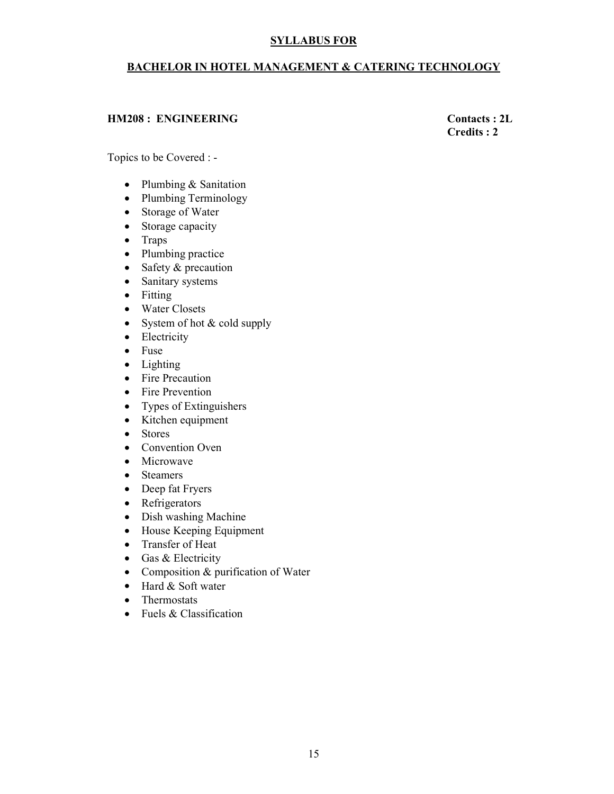#### BACHELOR IN HOTEL MANAGEMENT & CATERING TECHNOLOGY

#### HM208 : ENGINEERING Contacts : 2L

### Credits : 2

Topics to be Covered : -

- Plumbing & Sanitation
- Plumbing Terminology
- Storage of Water
- Storage capacity
- Traps
- Plumbing practice
- Safety & precaution
- Sanitary systems
- Fitting
- Water Closets
- System of hot & cold supply
- Electricity
- Fuse
- Lighting
- Fire Precaution
- Fire Prevention
- Types of Extinguishers
- Kitchen equipment
- Stores
- Convention Oven
- Microwave
- Steamers
- Deep fat Fryers
- Refrigerators
- Dish washing Machine
- House Keeping Equipment
- Transfer of Heat
- Gas & Electricity
- Composition & purification of Water
- Hard & Soft water
- Thermostats
- Fuels & Classification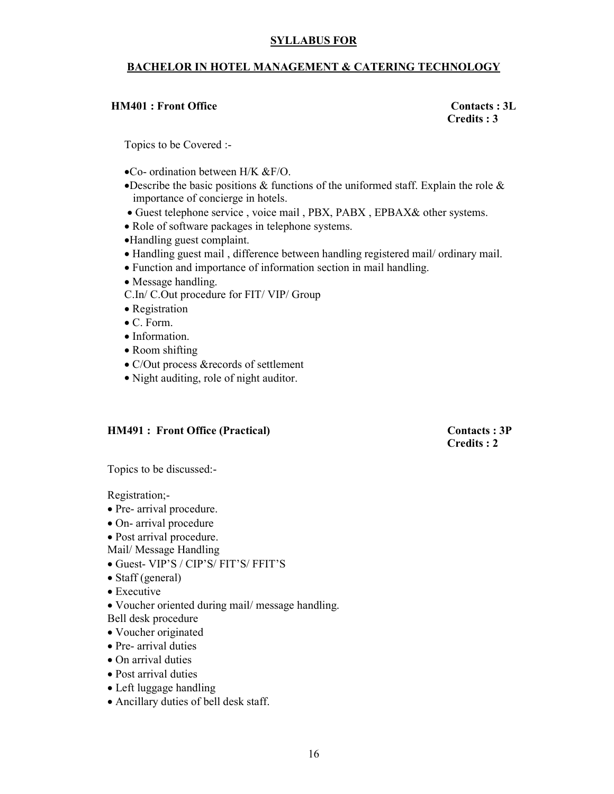#### BACHELOR IN HOTEL MANAGEMENT & CATERING TECHNOLOGY

#### HM401 : Front Office Contacts : 3L

Credits : 3

Topics to be Covered :-

- •Co- ordination between H/K &F/O.
- •Describe the basic positions & functions of the uniformed staff. Explain the role & importance of concierge in hotels.
- Guest telephone service , voice mail , PBX, PABX , EPBAX& other systems.
- Role of software packages in telephone systems.
- •Handling guest complaint.
- Handling guest mail , difference between handling registered mail/ ordinary mail.
- Function and importance of information section in mail handling.
- Message handling.
- C.In/ C.Out procedure for FIT/ VIP/ Group
- Registration
- C. Form.
- Information.
- Room shifting
- C/Out process &records of settlement
- Night auditing, role of night auditor.

#### HM491 : Front Office (Practical) Contacts : 3P

Credits : 2

Topics to be discussed:-

Registration;-

- Pre- arrival procedure.
- On- arrival procedure
- Post arrival procedure.
- Mail/ Message Handling
- Guest- VIP'S / CIP'S/ FIT'S/ FFIT'S
- Staff (general)
- Executive
- Voucher oriented during mail/ message handling. Bell desk procedure
- Voucher originated
- Pre- arrival duties
- On arrival duties
- Post arrival duties
- Left luggage handling
- Ancillary duties of bell desk staff.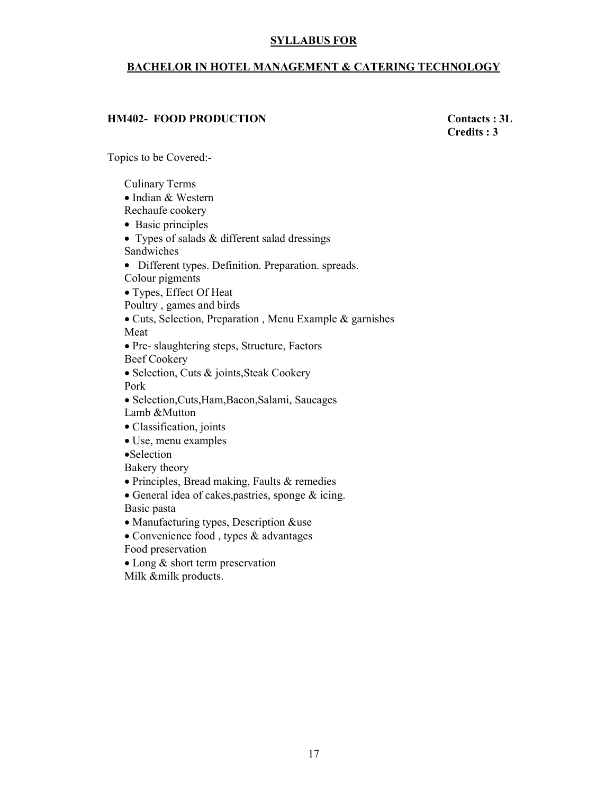#### BACHELOR IN HOTEL MANAGEMENT & CATERING TECHNOLOGY

#### HM402- FOOD PRODUCTION Contacts : 3L

Credits : 3

Topics to be Covered:-

Culinary Terms • Indian & Western Rechaufe cookery • Basic principles • Types of salads & different salad dressings Sandwiches • Different types. Definition. Preparation. spreads. Colour pigments • Types, Effect Of Heat Poultry , games and birds • Cuts, Selection, Preparation , Menu Example & garnishes Meat • Pre- slaughtering steps, Structure, Factors Beef Cookery • Selection, Cuts & joints,Steak Cookery Pork • Selection,Cuts,Ham,Bacon,Salami, Saucages Lamb &Mutton • Classification, joints • Use, menu examples •Selection Bakery theory • Principles, Bread making, Faults & remedies • General idea of cakes,pastries, sponge & icing. Basic pasta • Manufacturing types, Description &use • Convenience food, types & advantages Food preservation

• Long & short term preservation Milk &milk products.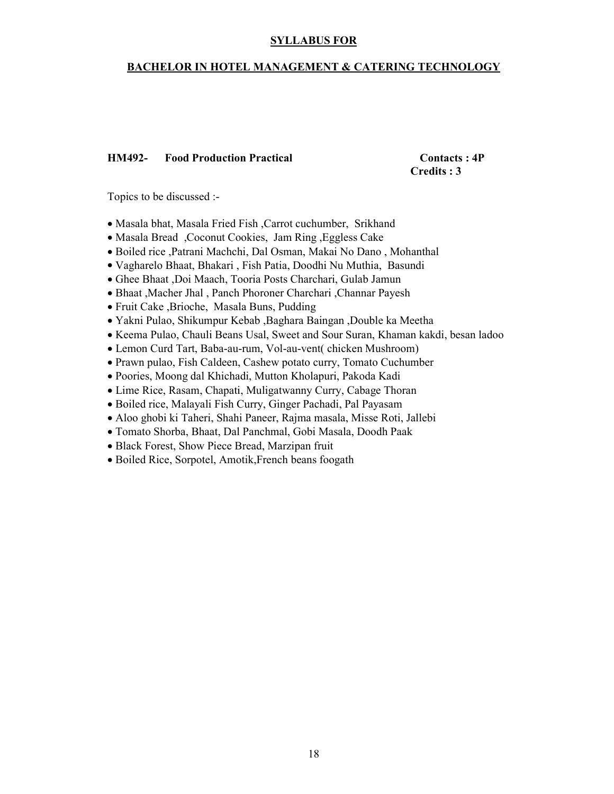#### BACHELOR IN HOTEL MANAGEMENT & CATERING TECHNOLOGY

#### HM492- Food Production Practical Contacts : 4P

Credits : 3

Topics to be discussed :-

- Masala bhat, Masala Fried Fish ,Carrot cuchumber, Srikhand
- Masala Bread ,Coconut Cookies, Jam Ring ,Eggless Cake
- Boiled rice ,Patrani Machchi, Dal Osman, Makai No Dano , Mohanthal
- Vagharelo Bhaat, Bhakari , Fish Patia, Doodhi Nu Muthia, Basundi
- Ghee Bhaat ,Doi Maach, Tooria Posts Charchari, Gulab Jamun
- Bhaat ,Macher Jhal , Panch Phoroner Charchari ,Channar Payesh
- Fruit Cake ,Brioche, Masala Buns, Pudding
- Yakni Pulao, Shikumpur Kebab ,Baghara Baingan ,Double ka Meetha
- Keema Pulao, Chauli Beans Usal, Sweet and Sour Suran, Khaman kakdi, besan ladoo
- Lemon Curd Tart, Baba-au-rum, Vol-au-vent( chicken Mushroom)
- Prawn pulao, Fish Caldeen, Cashew potato curry, Tomato Cuchumber
- Poories, Moong dal Khichadi, Mutton Kholapuri, Pakoda Kadi
- Lime Rice, Rasam, Chapati, Muligatwanny Curry, Cabage Thoran
- Boiled rice, Malayali Fish Curry, Ginger Pachadi, Pal Payasam
- Aloo ghobi ki Taheri, Shahi Paneer, Rajma masala, Misse Roti, Jallebi
- Tomato Shorba, Bhaat, Dal Panchmal, Gobi Masala, Doodh Paak
- Black Forest, Show Piece Bread, Marzipan fruit
- Boiled Rice, Sorpotel, Amotik,French beans foogath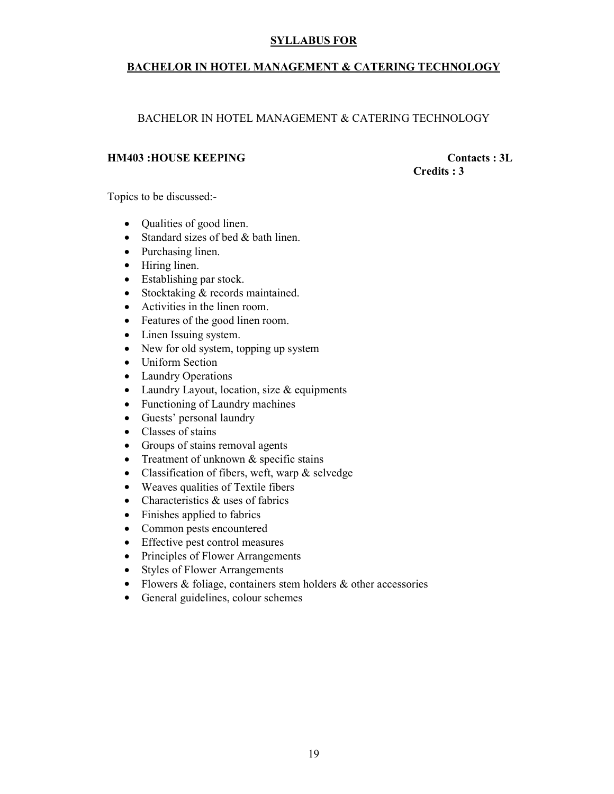#### BACHELOR IN HOTEL MANAGEMENT & CATERING TECHNOLOGY

#### BACHELOR IN HOTEL MANAGEMENT & CATERING TECHNOLOGY

#### HM403 :HOUSE KEEPING Contacts : 3L

Credits : 3

Topics to be discussed:-

- Qualities of good linen.
- Standard sizes of bed & bath linen.
- Purchasing linen.
- Hiring linen.
- Establishing par stock.
- Stocktaking & records maintained.
- Activities in the linen room.
- Features of the good linen room.
- Linen Issuing system.
- New for old system, topping up system
- Uniform Section
- Laundry Operations
- Laundry Layout, location, size & equipments
- Functioning of Laundry machines
- Guests' personal laundry
- Classes of stains
- Groups of stains removal agents
- Treatment of unknown & specific stains
- Classification of fibers, weft, warp & selvedge
- Weaves qualities of Textile fibers
- Characteristics & uses of fabrics
- Finishes applied to fabrics
- Common pests encountered
- Effective pest control measures
- Principles of Flower Arrangements
- Styles of Flower Arrangements
- Flowers & foliage, containers stem holders & other accessories
- General guidelines, colour schemes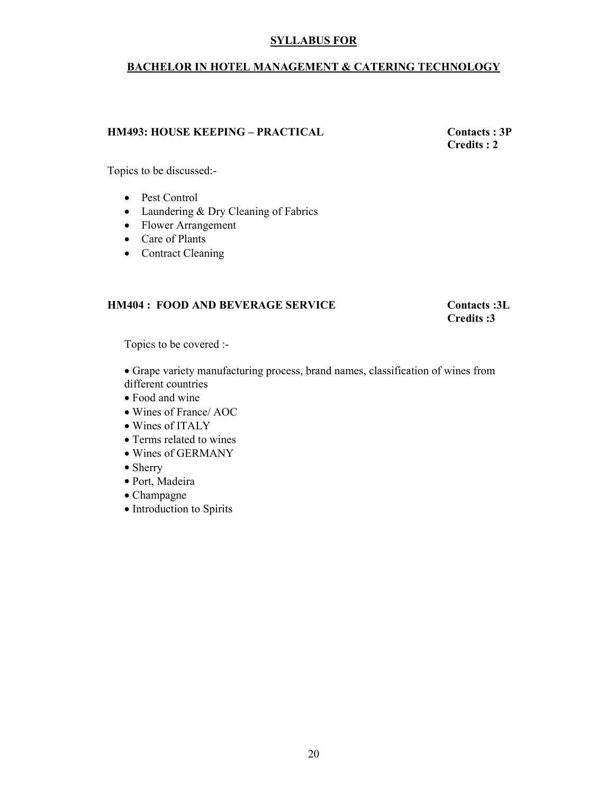#### BACHELOR IN HOTEL MANAGEMENT & CATERING TECHNOLOGY

#### HM493: HOUSE KEEPING – PRACTICAL Contacts : 3P

Credits : 2

Topics to be discussed:-

- Pest Control
- Laundering & Dry Cleaning of Fabrics
- Flower Arrangement
- Care of Plants
- Contract Cleaning

#### HM404 : FOOD AND BEVERAGE SERVICE Contacts :3L

Credits :3

Topics to be covered :-

• Grape variety manufacturing process, brand names, classification of wines from different countries

- Food and wine
- Wines of France/ AOC
- Wines of ITALY
- Terms related to wines
- Wines of GERMANY
- Sherry
- Port, Madeira
- Champagne
- Introduction to Spirits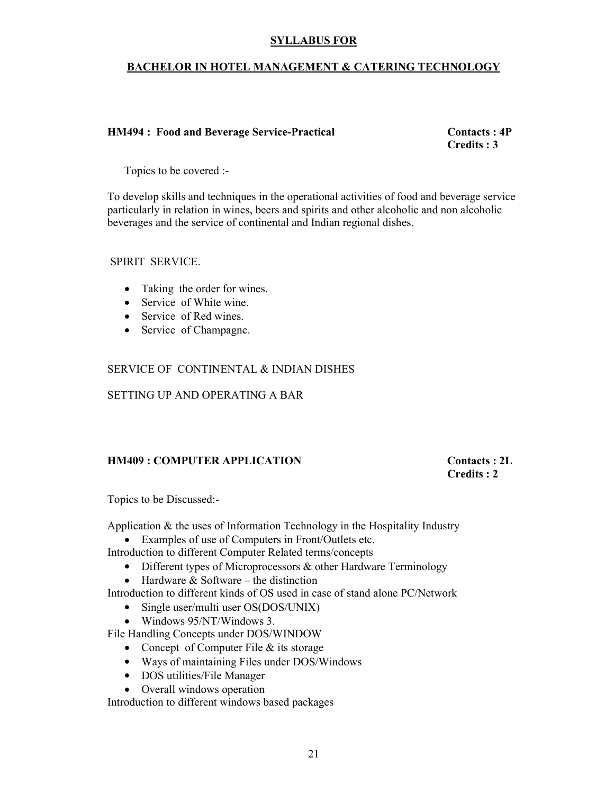#### BACHELOR IN HOTEL MANAGEMENT & CATERING TECHNOLOGY

#### HM494 : Food and Beverage Service-Practical Contacts : 4P

Credits : 3

Topics to be covered :-

To develop skills and techniques in the operational activities of food and beverage service particularly in relation in wines, beers and spirits and other alcoholic and non alcoholic beverages and the service of continental and Indian regional dishes.

#### SPIRIT SERVICE.

- Taking the order for wines.
- Service of White wine.
- Service of Red wines.
- Service of Champagne.

#### SERVICE OF CONTINENTAL & INDIAN DISHES

SETTING UP AND OPERATING A BAR

#### HM409 : COMPUTER APPLICATION Contacts : 2L

Credits : 2

Topics to be Discussed:-

Application & the uses of Information Technology in the Hospitality Industry

• Examples of use of Computers in Front/Outlets etc.

Introduction to different Computer Related terms/concepts

- Different types of Microprocessors & other Hardware Terminology
- Hardware  $&$  Software the distinction
- Introduction to different kinds of OS used in case of stand alone PC/Network
	- Single user/multi user OS(DOS/UNIX)
	- Windows 95/NT/Windows 3.

File Handling Concepts under DOS/WINDOW

- Concept of Computer File & its storage
- Ways of maintaining Files under DOS/Windows
- DOS utilities/File Manager
- Overall windows operation

Introduction to different windows based packages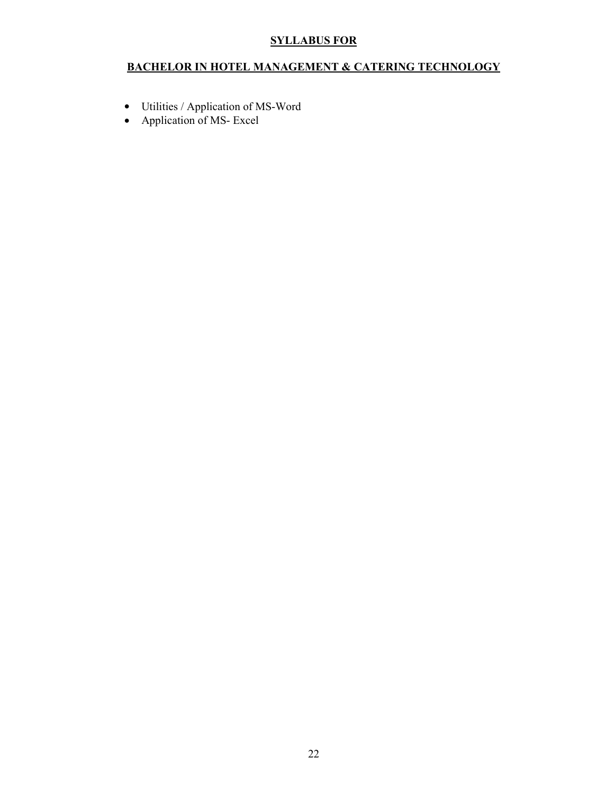#### BACHELOR IN HOTEL MANAGEMENT & CATERING TECHNOLOGY

- Utilities / Application of MS-Word
- Application of MS- Excel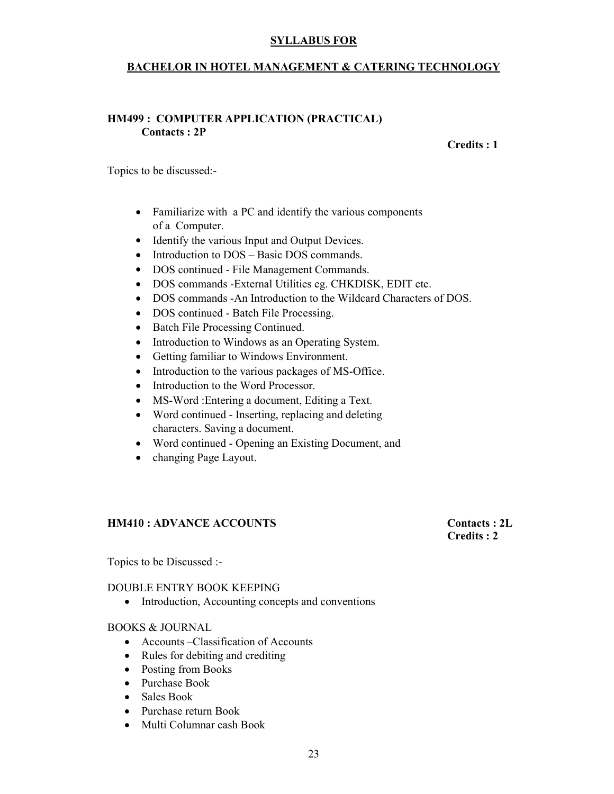#### BACHELOR IN HOTEL MANAGEMENT & CATERING TECHNOLOGY

#### HM499 : COMPUTER APPLICATION (PRACTICAL) Contacts : 2P

Credits : 1

Topics to be discussed:-

- Familiarize with a PC and identify the various components of a Computer.
- Identify the various Input and Output Devices.
- Introduction to DOS Basic DOS commands.
- DOS continued File Management Commands.
- DOS commands -External Utilities eg. CHKDISK, EDIT etc.
- DOS commands -An Introduction to the Wildcard Characters of DOS.
- DOS continued Batch File Processing.
- Batch File Processing Continued.
- Introduction to Windows as an Operating System.
- Getting familiar to Windows Environment.
- Introduction to the various packages of MS-Office.
- Introduction to the Word Processor.
- MS-Word :Entering a document, Editing a Text.
- Word continued Inserting, replacing and deleting characters. Saving a document.
- Word continued Opening an Existing Document, and
- changing Page Layout.

#### HM410 : ADVANCE ACCOUNTS Contacts : 2L

### Credits : 2

Topics to be Discussed :-

#### DOUBLE ENTRY BOOK KEEPING

• Introduction, Accounting concepts and conventions

#### BOOKS & JOURNAL

- Accounts Classification of Accounts
- Rules for debiting and crediting
- Posting from Books
- Purchase Book
- Sales Book
- Purchase return Book
- Multi Columnar cash Book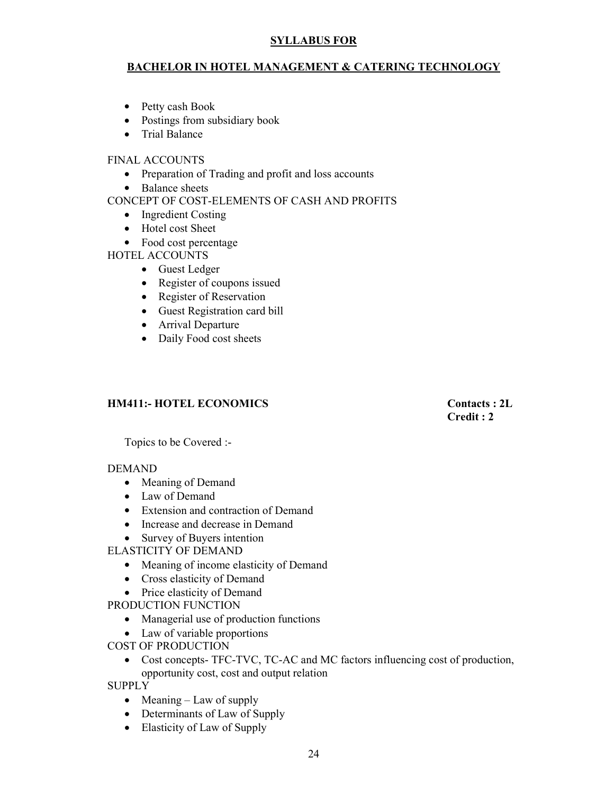#### BACHELOR IN HOTEL MANAGEMENT & CATERING TECHNOLOGY

- Petty cash Book
- Postings from subsidiary book
- Trial Balance

#### FINAL ACCOUNTS

- Preparation of Trading and profit and loss accounts
- Balance sheets

#### CONCEPT OF COST-ELEMENTS OF CASH AND PROFITS

- Ingredient Costing
- Hotel cost Sheet
- Food cost percentage

HOTEL ACCOUNTS

- Guest Ledger
- Register of coupons issued
- Register of Reservation
- Guest Registration card bill
- Arrival Departure
- Daily Food cost sheets

#### HM411:- HOTEL ECONOMICS Contacts : 2L

Credit : 2

Topics to be Covered :-

#### DEMAND

- Meaning of Demand
- Law of Demand
- Extension and contraction of Demand
- Increase and decrease in Demand
- Survey of Buyers intention
- ELASTICITY OF DEMAND
	- Meaning of income elasticity of Demand
	- Cross elasticity of Demand
	- Price elasticity of Demand
- PRODUCTION FUNCTION
	- Managerial use of production functions
	- Law of variable proportions
- COST OF PRODUCTION
	- Cost concepts- TFC-TVC, TC-AC and MC factors influencing cost of production, opportunity cost, cost and output relation

SUPPLY

- Meaning Law of supply
- Determinants of Law of Supply
- Elasticity of Law of Supply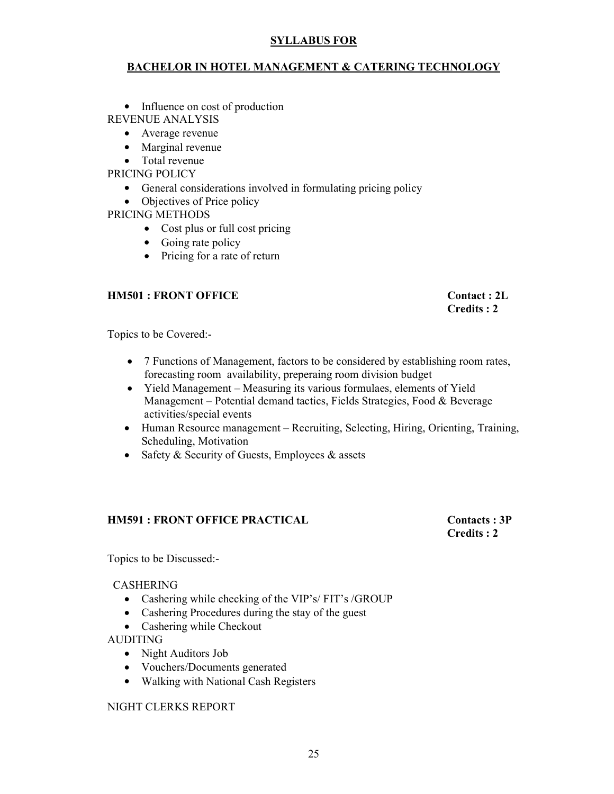#### BACHELOR IN HOTEL MANAGEMENT & CATERING TECHNOLOGY

• Influence on cost of production REVENUE ANALYSIS

- Average revenue
- Marginal revenue
- Total revenue

PRICING POLICY

- General considerations involved in formulating pricing policy
- Objectives of Price policy

PRICING METHODS

- Cost plus or full cost pricing
- Going rate policy
- Pricing for a rate of return

#### HM501 : FRONT OFFICE Contact : 2L

#### Credits : 2

Topics to be Covered:-

- 7 Functions of Management, factors to be considered by establishing room rates, forecasting room availability, preperaing room division budget
- Yield Management Measuring its various formulaes, elements of Yield Management – Potential demand tactics, Fields Strategies, Food & Beverage activities/special events
- Human Resource management Recruiting, Selecting, Hiring, Orienting, Training, Scheduling, Motivation
- Safety & Security of Guests, Employees & assets

#### HM591 : FRONT OFFICE PRACTICAL Contacts : 3P

# Credits : 2

Topics to be Discussed:-

#### CASHERING

- Cashering while checking of the VIP's/ FIT's /GROUP
- Cashering Procedures during the stay of the guest
- Cashering while Checkout

#### AUDITING

- Night Auditors Job
- Vouchers/Documents generated
- Walking with National Cash Registers

#### NIGHT CLERKS REPORT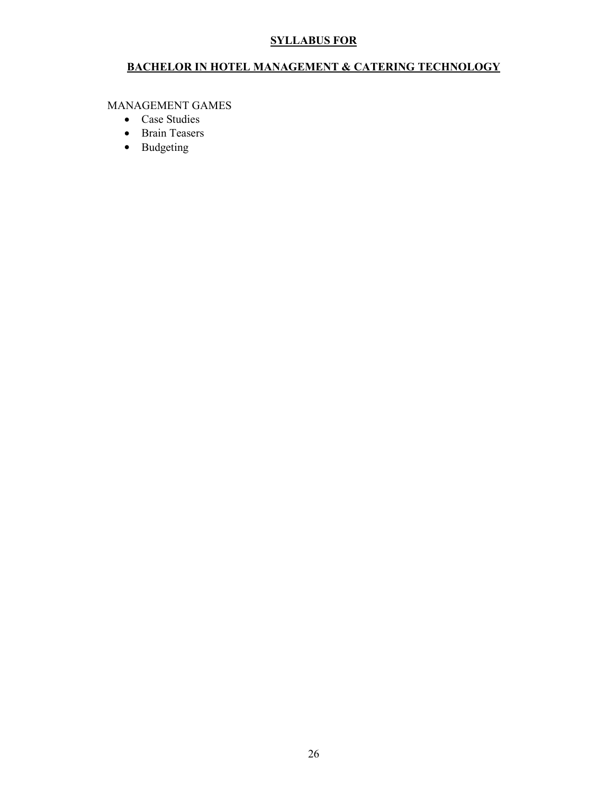#### BACHELOR IN HOTEL MANAGEMENT & CATERING TECHNOLOGY

MANAGEMENT GAMES

- Case Studies
- Brain Teasers
- Budgeting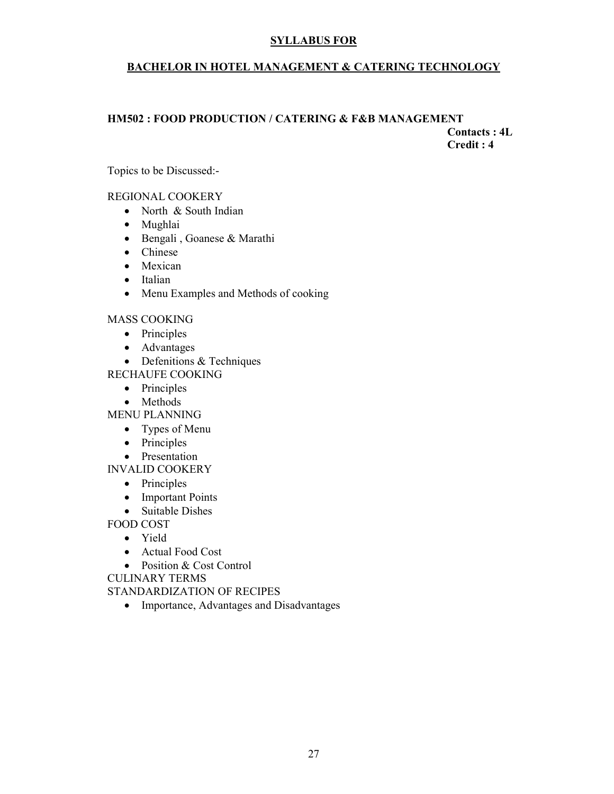#### BACHELOR IN HOTEL MANAGEMENT & CATERING TECHNOLOGY

### HM502 : FOOD PRODUCTION / CATERING & F&B MANAGEMENT Contacts : 4L

Credit : 4

Topics to be Discussed:-

#### REGIONAL COOKERY

- North & South Indian
- Mughlai
- Bengali , Goanese & Marathi
- Chinese
- Mexican
- Italian
- Menu Examples and Methods of cooking

#### MASS COOKING

- Principles
- Advantages
- Defenitions & Techniques
- RECHAUFE COOKING
	- Principles
	- Methods

MENU PLANNING

- Types of Menu
- Principles
- Presentation

INVALID COOKERY

- Principles
- Important Points
- Suitable Dishes

FOOD COST

- Yield
- Actual Food Cost
- Position & Cost Control

CULINARY TERMS

#### STANDARDIZATION OF RECIPES

• Importance, Advantages and Disadvantages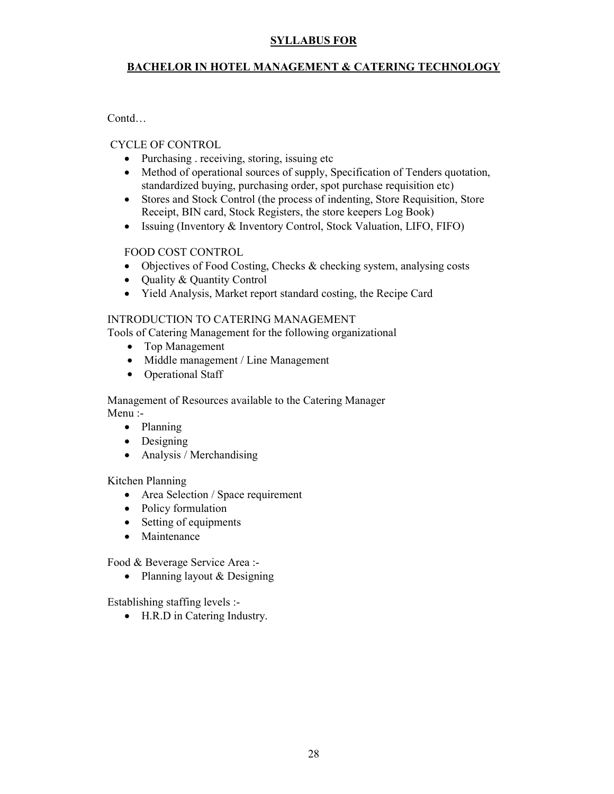#### BACHELOR IN HOTEL MANAGEMENT & CATERING TECHNOLOGY

Contd…

#### CYCLE OF CONTROL

- Purchasing . receiving, storing, issuing etc
- Method of operational sources of supply. Specification of Tenders quotation, standardized buying, purchasing order, spot purchase requisition etc)
- Stores and Stock Control (the process of indenting, Store Requisition, Store Receipt, BIN card, Stock Registers, the store keepers Log Book)
- Issuing (Inventory & Inventory Control, Stock Valuation, LIFO, FIFO)

#### FOOD COST CONTROL

- Objectives of Food Costing, Checks & checking system, analysing costs
- Quality & Quantity Control
- Yield Analysis, Market report standard costing, the Recipe Card

#### INTRODUCTION TO CATERING MANAGEMENT

Tools of Catering Management for the following organizational

- Top Management
- Middle management / Line Management
- Operational Staff

Management of Resources available to the Catering Manager Menu :-

- Planning
- Designing
- Analysis / Merchandising

#### Kitchen Planning

- Area Selection / Space requirement
- Policy formulation
- Setting of equipments
- Maintenance

Food & Beverage Service Area :-

• Planning layout & Designing

Establishing staffing levels :-

• H.R.D in Catering Industry.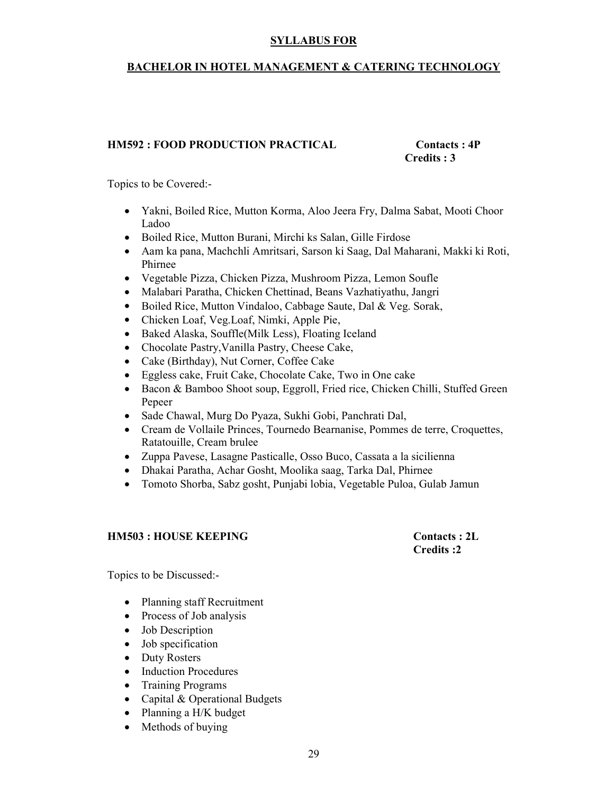#### BACHELOR IN HOTEL MANAGEMENT & CATERING TECHNOLOGY

#### HM592 : FOOD PRODUCTION PRACTICAL Contacts : 4P

# Credits : 3

Topics to be Covered:-

- Yakni, Boiled Rice, Mutton Korma, Aloo Jeera Fry, Dalma Sabat, Mooti Choor Ladoo
- Boiled Rice, Mutton Burani, Mirchi ks Salan, Gille Firdose
- Aam ka pana, Machchli Amritsari, Sarson ki Saag, Dal Maharani, Makki ki Roti, Phirnee
- Vegetable Pizza, Chicken Pizza, Mushroom Pizza, Lemon Soufle
- Malabari Paratha, Chicken Chettinad, Beans Vazhatiyathu, Jangri
- Boiled Rice, Mutton Vindaloo, Cabbage Saute, Dal & Veg. Sorak,
- Chicken Loaf, Veg.Loaf, Nimki, Apple Pie,
- Baked Alaska, Souffle(Milk Less), Floating Iceland
- Chocolate Pastry,Vanilla Pastry, Cheese Cake,
- Cake (Birthday), Nut Corner, Coffee Cake
- Eggless cake, Fruit Cake, Chocolate Cake, Two in One cake
- Bacon & Bamboo Shoot soup, Eggroll, Fried rice, Chicken Chilli, Stuffed Green Pepeer
- Sade Chawal, Murg Do Pyaza, Sukhi Gobi, Panchrati Dal,
- Cream de Vollaile Princes, Tournedo Bearnanise, Pommes de terre, Croquettes, Ratatouille, Cream brulee
- Zuppa Pavese, Lasagne Pasticalle, Osso Buco, Cassata a la sicilienna
- Dhakai Paratha, Achar Gosht, Moolika saag, Tarka Dal, Phirnee
- Tomoto Shorba, Sabz gosht, Punjabi lobia, Vegetable Puloa, Gulab Jamun

#### HM503 : HOUSE KEEPING Contacts : 2L

Credits :2

Topics to be Discussed:-

- Planning staff Recruitment
- Process of Job analysis
- Job Description
- Job specification
- Duty Rosters
- Induction Procedures
- Training Programs
- Capital & Operational Budgets
- Planning a H/K budget
- Methods of buying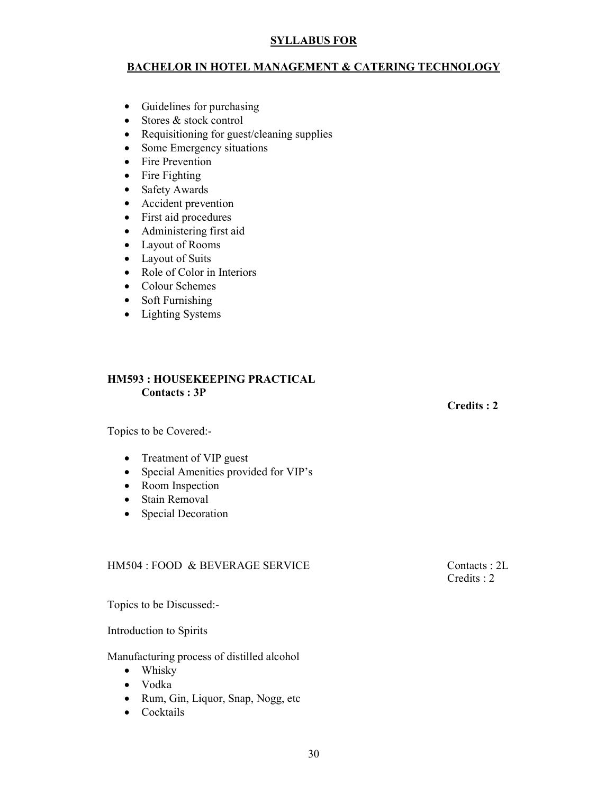#### BACHELOR IN HOTEL MANAGEMENT & CATERING TECHNOLOGY

- Guidelines for purchasing
- Stores & stock control
- Requisitioning for guest/cleaning supplies
- Some Emergency situations
- Fire Prevention
- Fire Fighting
- Safety Awards
- Accident prevention
- First aid procedures
- Administering first aid
- Layout of Rooms
- Layout of Suits
- Role of Color in Interiors
- Colour Schemes
- Soft Furnishing
- Lighting Systems

#### HM593 : HOUSEKEEPING PRACTICAL Contacts : 3P

#### Credits : 2

Topics to be Covered:-

- Treatment of VIP guest
- Special Amenities provided for VIP's
- Room Inspection
- Stain Removal
- Special Decoration

#### HM504 : FOOD & BEVERAGE SERVICE Contacts : 2L

Credits : 2

Topics to be Discussed:-

Introduction to Spirits

Manufacturing process of distilled alcohol

- Whisky
- Vodka
- Rum, Gin, Liquor, Snap, Nogg, etc
- Cocktails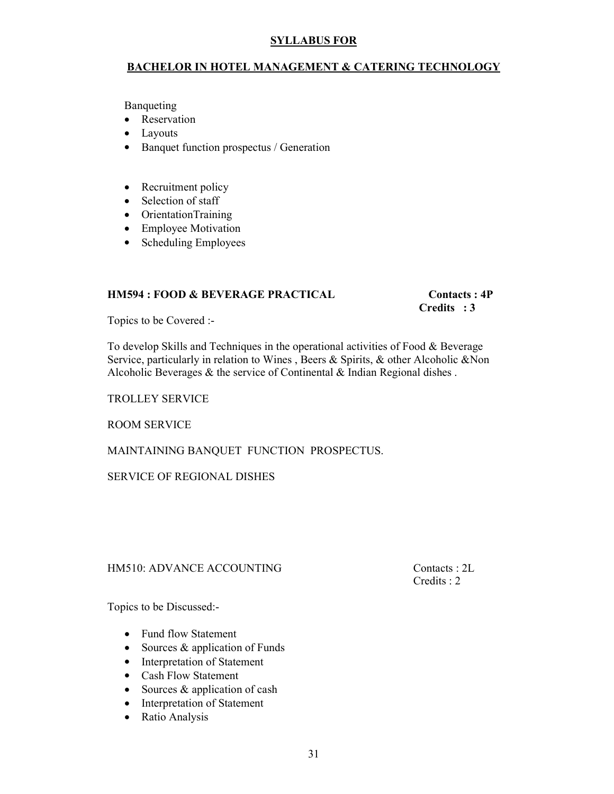#### BACHELOR IN HOTEL MANAGEMENT & CATERING TECHNOLOGY

Banqueting

- Reservation
- Layouts
- Banquet function prospectus / Generation
- Recruitment policy
- Selection of staff
- OrientationTraining
- Employee Motivation
- Scheduling Employees

#### HM594 : FOOD & BEVERAGE PRACTICAL Contacts : 4P

## Credits : 3

Topics to be Covered :-

To develop Skills and Techniques in the operational activities of Food & Beverage Service, particularly in relation to Wines , Beers & Spirits, & other Alcoholic &Non Alcoholic Beverages  $\&$  the service of Continental  $\&$  Indian Regional dishes.

#### TROLLEY SERVICE

ROOM SERVICE

#### MAINTAINING BANQUET FUNCTION PROSPECTUS.

#### SERVICE OF REGIONAL DISHES

#### HM510: ADVANCE ACCOUNTING Contacts : 2L

Credits : 2

Topics to be Discussed:-

- Fund flow Statement
- Sources & application of Funds
- Interpretation of Statement
- Cash Flow Statement
- Sources & application of cash
- Interpretation of Statement
- Ratio Analysis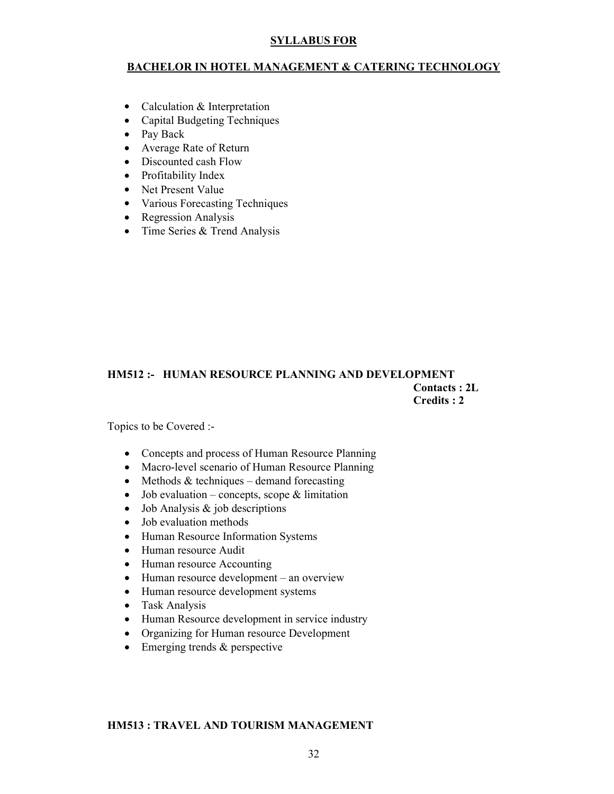#### BACHELOR IN HOTEL MANAGEMENT & CATERING TECHNOLOGY

- Calculation & Interpretation
- Capital Budgeting Techniques
- Pay Back
- Average Rate of Return
- Discounted cash Flow
- Profitability Index
- Net Present Value
- Various Forecasting Techniques
- Regression Analysis
- Time Series & Trend Analysis

#### HM512 :- HUMAN RESOURCE PLANNING AND DEVELOPMENT Contacts : 2L Credits : 2

Topics to be Covered :-

- Concepts and process of Human Resource Planning
- Macro-level scenario of Human Resource Planning
- Methods  $&$  techniques demand forecasting
- Job evaluation concepts, scope  $&$  limitation
- Job Analysis & job descriptions
- Job evaluation methods
- Human Resource Information Systems
- Human resource Audit
- Human resource Accounting
- Human resource development an overview
- Human resource development systems
- Task Analysis
- Human Resource development in service industry
- Organizing for Human resource Development
- Emerging trends & perspective

#### HM513 : TRAVEL AND TOURISM MANAGEMENT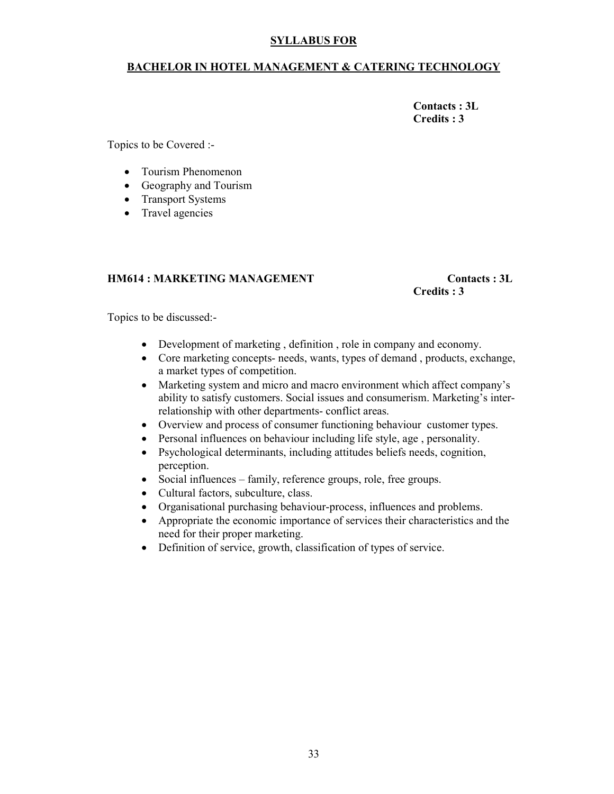#### BACHELOR IN HOTEL MANAGEMENT & CATERING TECHNOLOGY

 Contacts : 3L Credits : 3

Topics to be Covered :-

- Tourism Phenomenon
- Geography and Tourism
- Transport Systems
- Travel agencies

#### HM614 : MARKETING MANAGEMENT Contacts : 3L

# Credits : 3

Topics to be discussed:-

- Development of marketing , definition , role in company and economy.
- Core marketing concepts- needs, wants, types of demand , products, exchange, a market types of competition.
- Marketing system and micro and macro environment which affect company's ability to satisfy customers. Social issues and consumerism. Marketing's interrelationship with other departments- conflict areas.
- Overview and process of consumer functioning behaviour customer types.
- Personal influences on behaviour including life style, age, personality.
- Psychological determinants, including attitudes beliefs needs, cognition, perception.
- Social influences family, reference groups, role, free groups.
- Cultural factors, subculture, class.
- Organisational purchasing behaviour-process, influences and problems.
- Appropriate the economic importance of services their characteristics and the need for their proper marketing.
- Definition of service, growth, classification of types of service.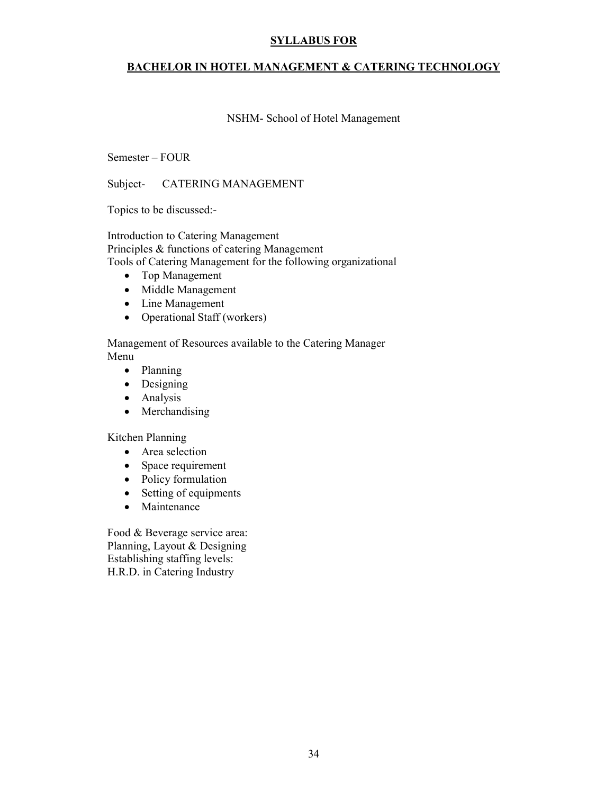#### BACHELOR IN HOTEL MANAGEMENT & CATERING TECHNOLOGY

#### NSHM- School of Hotel Management

#### Semester – FOUR

Subject- CATERING MANAGEMENT

Topics to be discussed:-

Introduction to Catering Management Principles & functions of catering Management Tools of Catering Management for the following organizational

- Top Management
- Middle Management
- Line Management
- Operational Staff (workers)

Management of Resources available to the Catering Manager Menu

- Planning
- Designing
- Analysis
- Merchandising

Kitchen Planning

- Area selection
- Space requirement
- Policy formulation
- Setting of equipments
- Maintenance

Food & Beverage service area: Planning, Layout & Designing Establishing staffing levels: H.R.D. in Catering Industry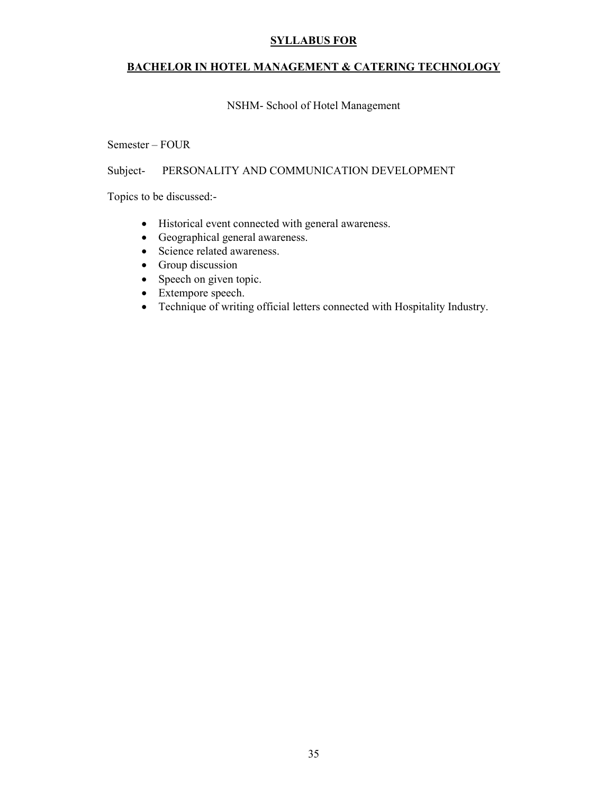#### BACHELOR IN HOTEL MANAGEMENT & CATERING TECHNOLOGY

#### NSHM- School of Hotel Management

#### Semester – FOUR

#### Subject- PERSONALITY AND COMMUNICATION DEVELOPMENT

Topics to be discussed:-

- Historical event connected with general awareness.
- Geographical general awareness.
- Science related awareness.
- Group discussion
- Speech on given topic.
- Extempore speech.
- Technique of writing official letters connected with Hospitality Industry.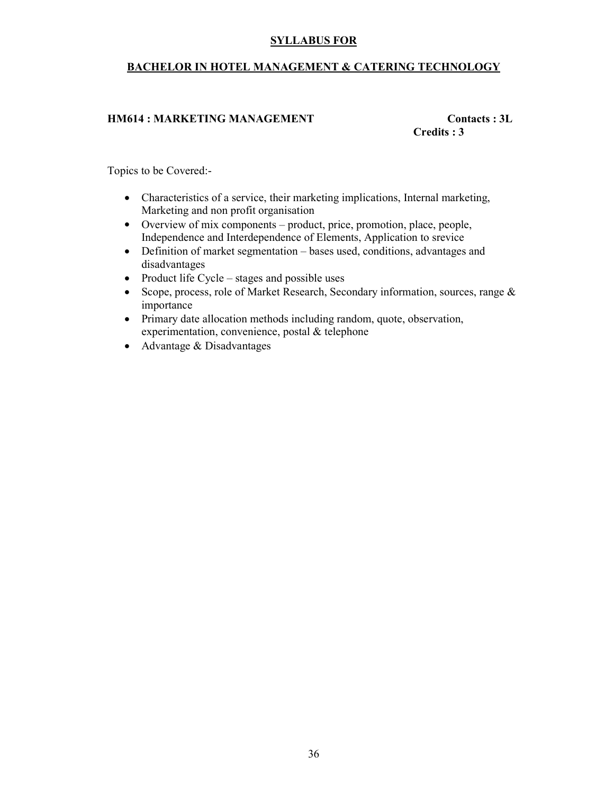#### BACHELOR IN HOTEL MANAGEMENT & CATERING TECHNOLOGY

#### HM614 : MARKETING MANAGEMENT Contacts : 3L

Credits : 3

Topics to be Covered:-

- Characteristics of a service, their marketing implications, Internal marketing, Marketing and non profit organisation
- Overview of mix components product, price, promotion, place, people, Independence and Interdependence of Elements, Application to srevice
- Definition of market segmentation bases used, conditions, advantages and disadvantages
- Product life Cycle stages and possible uses
- Scope, process, role of Market Research, Secondary information, sources, range  $\&$ importance
- Primary date allocation methods including random, quote, observation, experimentation, convenience, postal & telephone
- Advantage & Disadvantages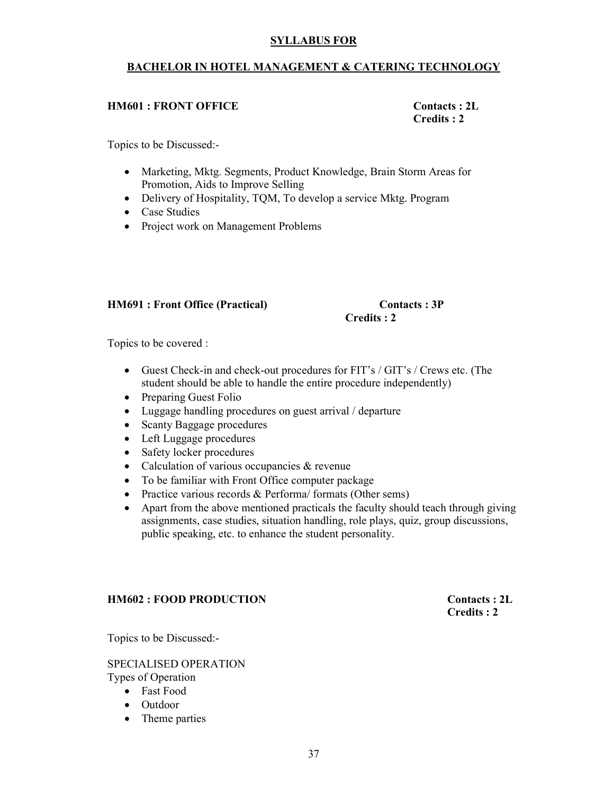#### BACHELOR IN HOTEL MANAGEMENT & CATERING TECHNOLOGY

#### HM601 : FRONT OFFICE Contacts : 2L

Credits : 2

Topics to be Discussed:-

- Marketing, Mktg. Segments, Product Knowledge, Brain Storm Areas for Promotion, Aids to Improve Selling
- Delivery of Hospitality, TQM, To develop a service Mktg. Program
- Case Studies
- Project work on Management Problems

#### HM691 : Front Office (Practical) Contacts : 3P

# Credits : 2

Topics to be covered :

- Guest Check-in and check-out procedures for FIT's / GIT's / Crews etc. (The student should be able to handle the entire procedure independently)
- Preparing Guest Folio
- Luggage handling procedures on guest arrival / departure
- Scanty Baggage procedures
- Left Luggage procedures
- Safety locker procedures
- Calculation of various occupancies & revenue
- To be familiar with Front Office computer package
- Practice various records & Performa/ formats (Other sems)
- Apart from the above mentioned practicals the faculty should teach through giving assignments, case studies, situation handling, role plays, quiz, group discussions, public speaking, etc. to enhance the student personality.

#### HM602 : FOOD PRODUCTION Contacts : 2L

Credits : 2

Topics to be Discussed:-

SPECIALISED OPERATION Types of Operation

• Fast Food

- Outdoor
- Theme parties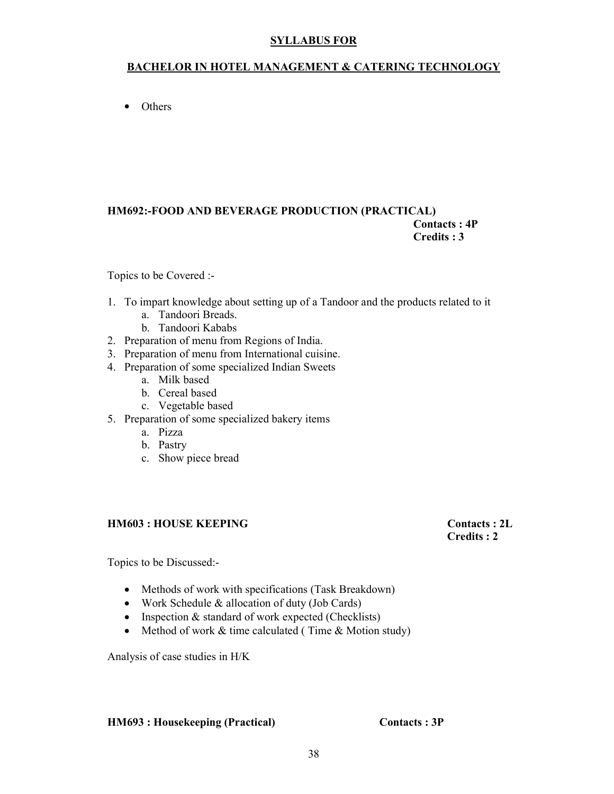#### BACHELOR IN HOTEL MANAGEMENT & CATERING TECHNOLOGY

• Others

#### HM692:-FOOD AND BEVERAGE PRODUCTION (PRACTICAL) Contacts : 4P Credits : 3

#### Topics to be Covered :-

- 1. To impart knowledge about setting up of a Tandoor and the products related to it
	- a. Tandoori Breads.
	- b. Tandoori Kababs
- 2. Preparation of menu from Regions of India.
- 3. Preparation of menu from International cuisine.
- 4. Preparation of some specialized Indian Sweets
	- a. Milk based
	- b. Cereal based
	- c. Vegetable based
- 5. Preparation of some specialized bakery items
	- a. Pizza
	- b. Pastry
	- c. Show piece bread

#### HM603 : HOUSE KEEPING Contacts : 2L

# Credits : 2

Topics to be Discussed:-

- Methods of work with specifications (Task Breakdown)
- Work Schedule & allocation of duty (Job Cards)
- Inspection & standard of work expected (Checklists)
- Method of work & time calculated (Time & Motion study)

Analysis of case studies in H/K

#### HM693 : Housekeeping (Practical) Contacts : 3P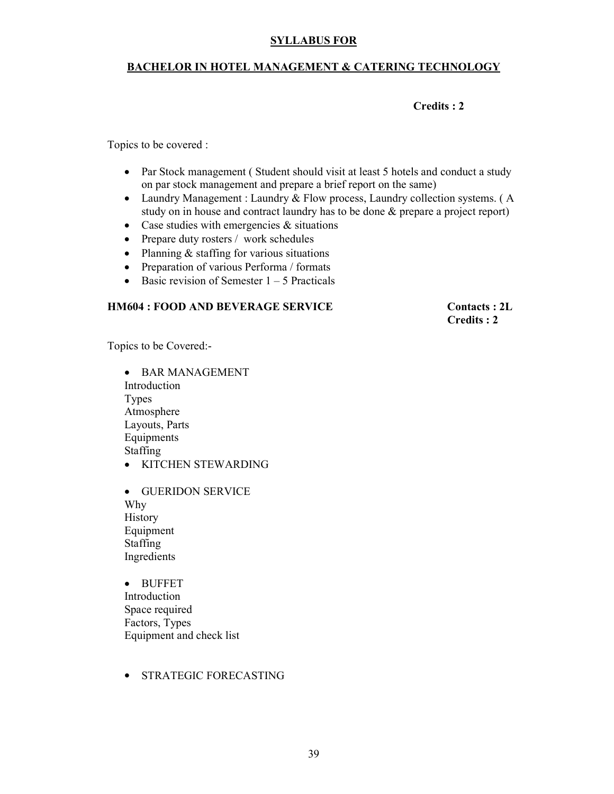#### BACHELOR IN HOTEL MANAGEMENT & CATERING TECHNOLOGY

#### Credits : 2

Topics to be covered :

- Par Stock management (Student should visit at least 5 hotels and conduct a study on par stock management and prepare a brief report on the same)
- Laundry Management : Laundry & Flow process, Laundry collection systems. (A study on in house and contract laundry has to be done & prepare a project report)
- Case studies with emergencies  $\&$  situations
- Prepare duty rosters / work schedules
- Planning & staffing for various situations
- Preparation of various Performa / formats
- Basic revision of Semester  $1 5$  Practicals

#### HM604 : FOOD AND BEVERAGE SERVICE Contacts : 2L

Credits : 2

Topics to be Covered:-

• BAR MANAGEMENT Introduction Types Atmosphere Layouts, Parts Equipments Staffing

- KITCHEN STEWARDING
- GUERIDON SERVICE Why **History** Equipment Staffing Ingredients

• BUFFET Introduction Space required Factors, Types Equipment and check list

• STRATEGIC FORECASTING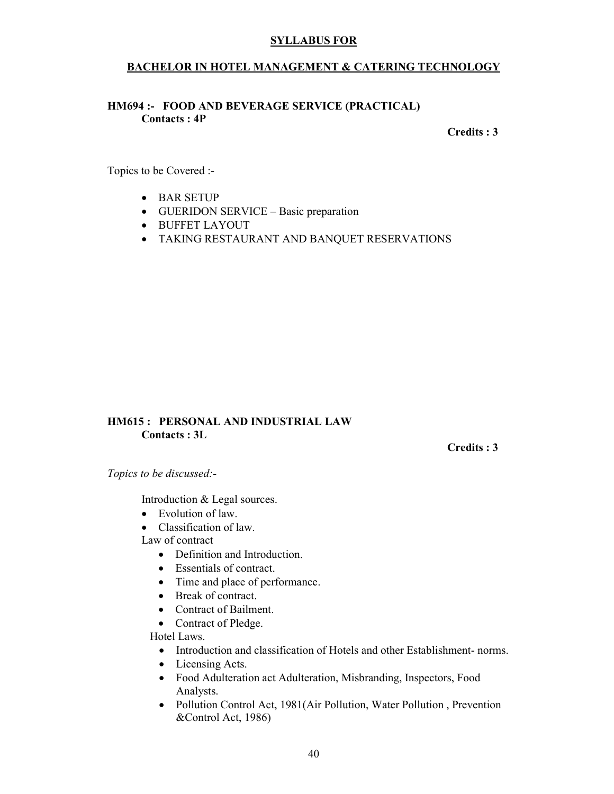#### BACHELOR IN HOTEL MANAGEMENT & CATERING TECHNOLOGY

#### HM694 :- FOOD AND BEVERAGE SERVICE (PRACTICAL) Contacts : 4P

#### Credits : 3

Topics to be Covered :-

- BAR SETUP
- GUERIDON SERVICE Basic preparation
- BUFFET LAYOUT
- TAKING RESTAURANT AND BANQUET RESERVATIONS

#### HM615 : PERSONAL AND INDUSTRIAL LAW Contacts : 3L

Credits : 3

Topics to be discussed:-

Introduction & Legal sources.

• Evolution of law.

• Classification of law

Law of contract

- Definition and Introduction.
- Essentials of contract.
- Time and place of performance.
- Break of contract.
- Contract of Bailment.
- Contract of Pledge.

Hotel Laws.

- Introduction and classification of Hotels and other Establishment- norms.
- Licensing Acts.
- Food Adulteration act Adulteration, Misbranding, Inspectors, Food Analysts.
- Pollution Control Act, 1981(Air Pollution, Water Pollution, Prevention &Control Act, 1986)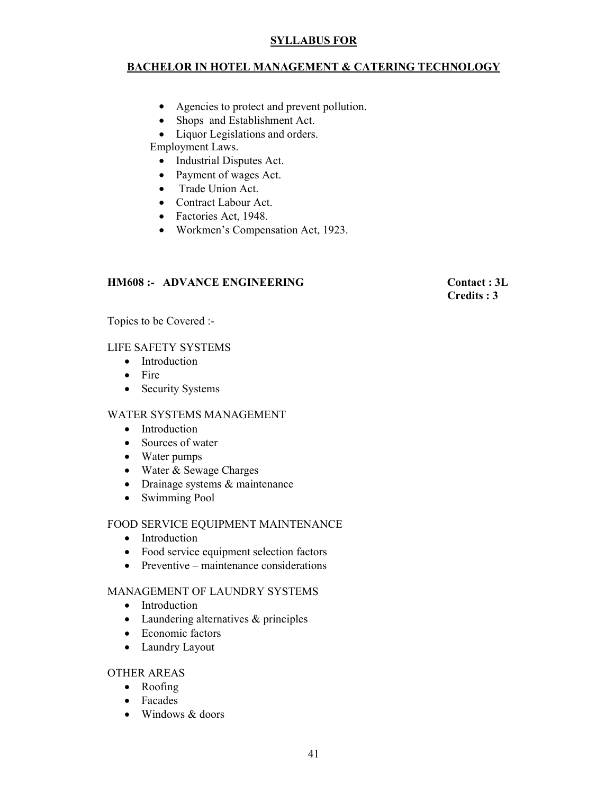#### BACHELOR IN HOTEL MANAGEMENT & CATERING TECHNOLOGY

- Agencies to protect and prevent pollution.
- Shops and Establishment Act.
- Liquor Legislations and orders.

Employment Laws.

- Industrial Disputes Act.
- Payment of wages Act.
- Trade Union Act.
- Contract Labour Act.
- Factories Act, 1948.
- Workmen's Compensation Act, 1923.

#### HM608 :- ADVANCE ENGINEERING Contact : 3L

Credits : 3

Topics to be Covered :-

#### LIFE SAFETY SYSTEMS

- Introduction
- Fire
- Security Systems

#### WATER SYSTEMS MANAGEMENT

- Introduction
- Sources of water
- Water pumps
- Water & Sewage Charges
- Drainage systems & maintenance
- Swimming Pool

#### FOOD SERVICE EQUIPMENT MAINTENANCE

- Introduction
- Food service equipment selection factors
- Preventive maintenance considerations

#### MANAGEMENT OF LAUNDRY SYSTEMS

- Introduction
- Laundering alternatives & principles
- Economic factors
- Laundry Layout

#### OTHER AREAS

- Roofing
- Facades
- Windows & doors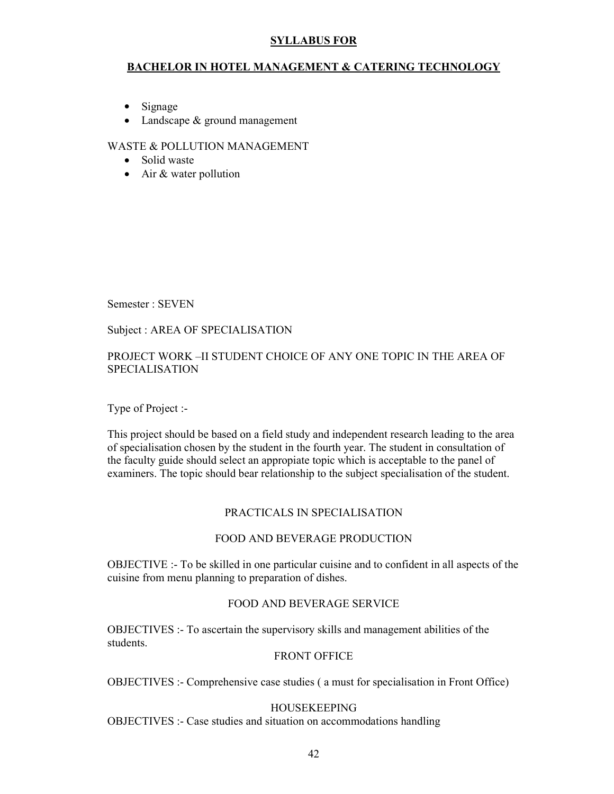#### BACHELOR IN HOTEL MANAGEMENT & CATERING TECHNOLOGY

- Signage
- Landscape & ground management

#### WASTE & POLLUTION MANAGEMENT

- Solid waste
- Air & water pollution

Semester : SEVEN

#### Subject : AREA OF SPECIALISATION

#### PROJECT WORK –II STUDENT CHOICE OF ANY ONE TOPIC IN THE AREA OF SPECIALISATION

Type of Project :-

This project should be based on a field study and independent research leading to the area of specialisation chosen by the student in the fourth year. The student in consultation of the faculty guide should select an appropiate topic which is acceptable to the panel of examiners. The topic should bear relationship to the subject specialisation of the student.

#### PRACTICALS IN SPECIALISATION

#### FOOD AND BEVERAGE PRODUCTION

OBJECTIVE :- To be skilled in one particular cuisine and to confident in all aspects of the cuisine from menu planning to preparation of dishes.

#### FOOD AND BEVERAGE SERVICE

OBJECTIVES :- To ascertain the supervisory skills and management abilities of the students.

#### FRONT OFFICE

OBJECTIVES :- Comprehensive case studies ( a must for specialisation in Front Office)

#### HOUSEKEEPING

OBJECTIVES :- Case studies and situation on accommodations handling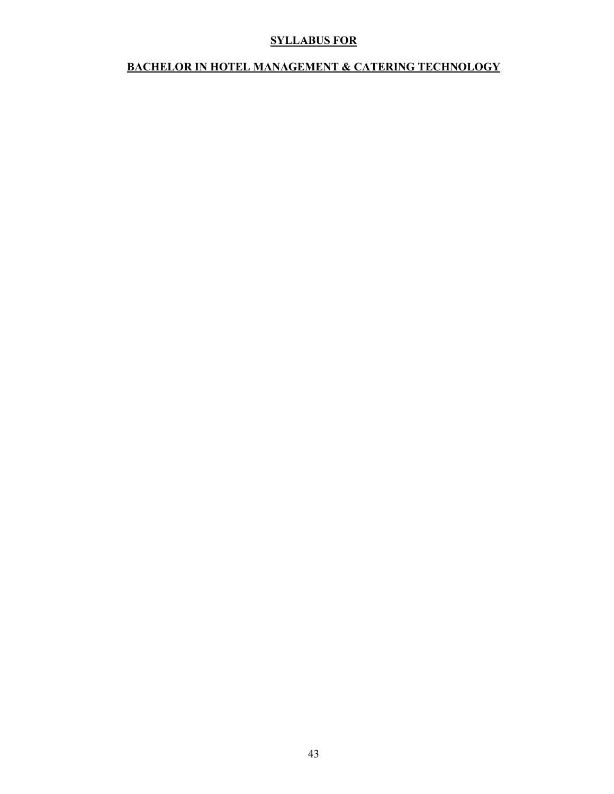#### BACHELOR IN HOTEL MANAGEMENT & CATERING TECHNOLOGY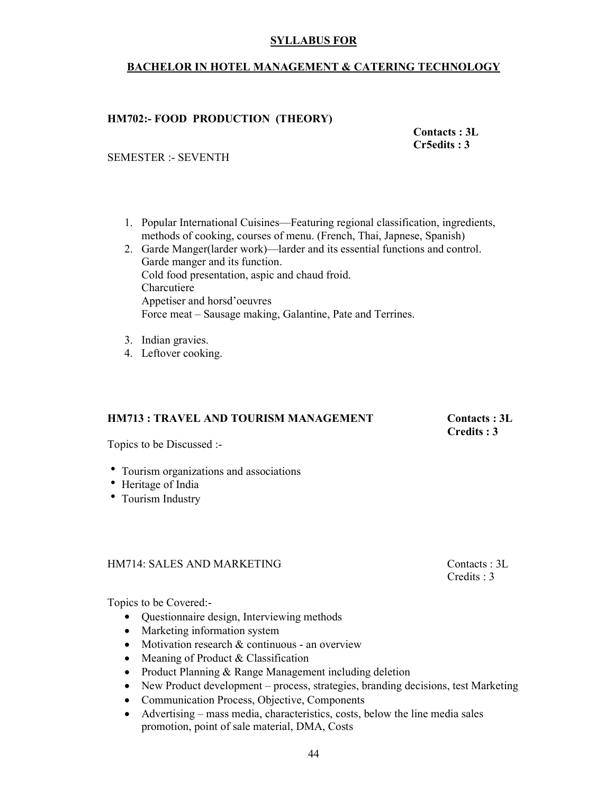#### BACHELOR IN HOTEL MANAGEMENT & CATERING TECHNOLOGY

#### HM702:- FOOD PRODUCTION (THEORY)

#### Contacts : 3L Cr5edits : 3

#### SEMESTER :- SEVENTH

- 1. Popular International Cuisines—Featuring regional classification, ingredients, methods of cooking, courses of menu. (French, Thai, Japnese, Spanish)
- 2. Garde Manger(larder work)—larder and its essential functions and control. Garde manger and its function. Cold food presentation, aspic and chaud froid. Charcutiere Appetiser and horsd'oeuvres Force meat – Sausage making, Galantine, Pate and Terrines.
- 3. Indian gravies.
- 4. Leftover cooking.

#### HM713 : TRAVEL AND TOURISM MANAGEMENT Contacts : 3L

### Credits : 3

Topics to be Discussed :-

- Tourism organizations and associations
- Heritage of India
- Tourism Industry

#### HM714: SALES AND MARKETING Contacts : 3L

Credits : 3

Topics to be Covered:-

- Questionnaire design, Interviewing methods
- Marketing information system
- Motivation research & continuous an overview
- Meaning of Product & Classification
- Product Planning & Range Management including deletion
- New Product development process, strategies, branding decisions, test Marketing
- Communication Process, Objective, Components
- Advertising mass media, characteristics, costs, below the line media sales promotion, point of sale material, DMA, Costs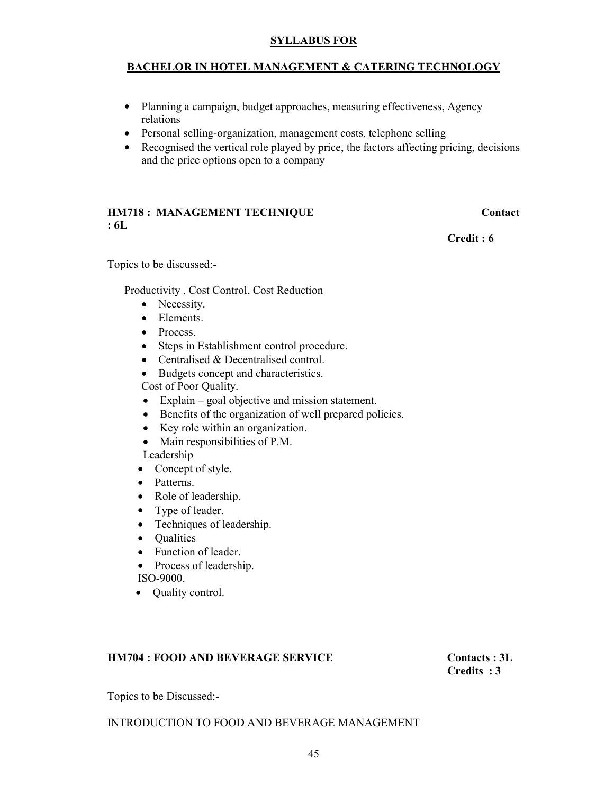#### BACHELOR IN HOTEL MANAGEMENT & CATERING TECHNOLOGY

- Planning a campaign, budget approaches, measuring effectiveness, Agency relations
- Personal selling-organization, management costs, telephone selling
- Recognised the vertical role played by price, the factors affecting pricing, decisions and the price options open to a company

#### HM718 : MANAGEMENT TECHNIQUE Contact : 6L

Credit : 6

Topics to be discussed:-

Productivity , Cost Control, Cost Reduction

- Necessity.
- Elements
- Process.
- Steps in Establishment control procedure.
- Centralised & Decentralised control.
- Budgets concept and characteristics. Cost of Poor Quality.
- Explain goal objective and mission statement.
- Benefits of the organization of well prepared policies.
- Key role within an organization.
- Main responsibilities of P.M.

Leadership

- Concept of style.
- Patterns.
- Role of leadership.
- Type of leader.
- Techniques of leadership.
- Qualities
- Function of leader.
- Process of leadership. ISO-9000.
- Quality control.

#### HM704 : FOOD AND BEVERAGE SERVICE Contacts : 3L

Credits : 3

Topics to be Discussed:-

#### INTRODUCTION TO FOOD AND BEVERAGE MANAGEMENT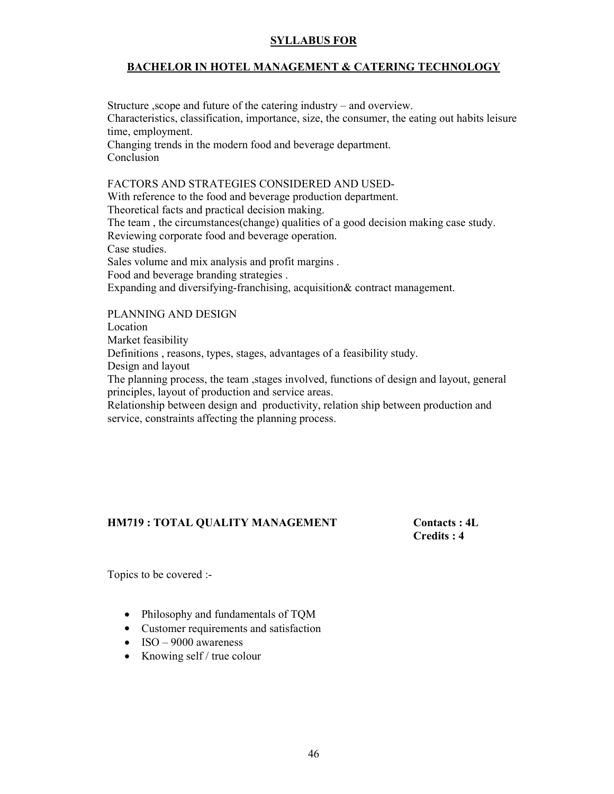#### BACHELOR IN HOTEL MANAGEMENT & CATERING TECHNOLOGY

Structure ,scope and future of the catering industry – and overview. Characteristics, classification, importance, size, the consumer, the eating out habits leisure time, employment. Changing trends in the modern food and beverage department. Conclusion

#### FACTORS AND STRATEGIES CONSIDERED AND USED-

With reference to the food and beverage production department. Theoretical facts and practical decision making. The team , the circumstances(change) qualities of a good decision making case study. Reviewing corporate food and beverage operation. Case studies. Sales volume and mix analysis and profit margins . Food and beverage branding strategies . Expanding and diversifying-franchising, acquisition& contract management.

#### PLANNING AND DESIGN

Location

Market feasibility

Definitions , reasons, types, stages, advantages of a feasibility study.

Design and layout

The planning process, the team ,stages involved, functions of design and layout, general principles, layout of production and service areas.

Relationship between design and productivity, relation ship between production and service, constraints affecting the planning process.

#### HM719 : TOTAL QUALITY MANAGEMENT Contacts : 4L

Credits : 4

Topics to be covered :-

- Philosophy and fundamentals of TQM
- Customer requirements and satisfaction
- ISO 9000 awareness
- Knowing self / true colour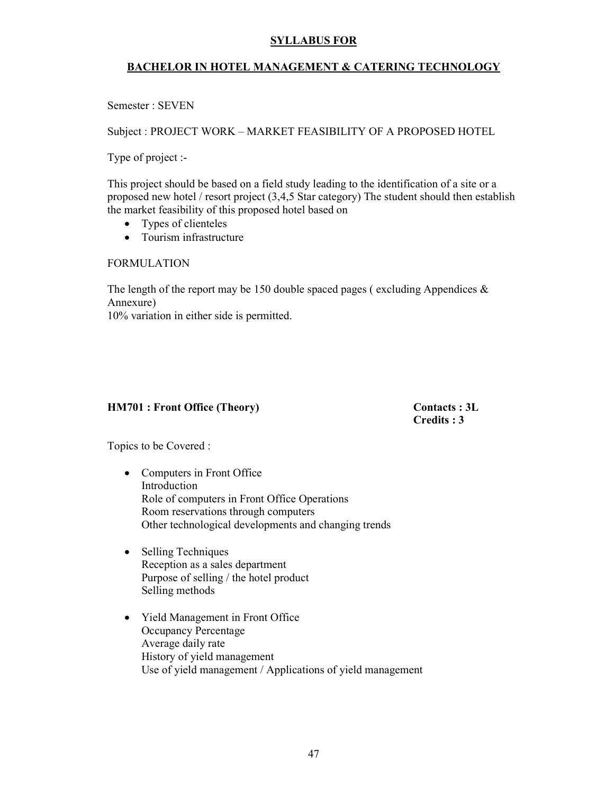#### BACHELOR IN HOTEL MANAGEMENT & CATERING TECHNOLOGY

Semester : SEVEN

Subject : PROJECT WORK – MARKET FEASIBILITY OF A PROPOSED HOTEL

Type of project :-

This project should be based on a field study leading to the identification of a site or a proposed new hotel / resort project (3,4,5 Star category) The student should then establish the market feasibility of this proposed hotel based on

- Types of clienteles
- Tourism infrastructure

FORMULATION

The length of the report may be 150 double spaced pages (excluding Appendices  $\&$ Annexure)

10% variation in either side is permitted.

#### HM701 : Front Office (Theory) Contacts : 3L

Credits : 3

Topics to be Covered :

- Computers in Front Office Introduction Role of computers in Front Office Operations Room reservations through computers Other technological developments and changing trends
- Selling Techniques Reception as a sales department Purpose of selling / the hotel product Selling methods
- Yield Management in Front Office Occupancy Percentage Average daily rate History of yield management Use of yield management / Applications of yield management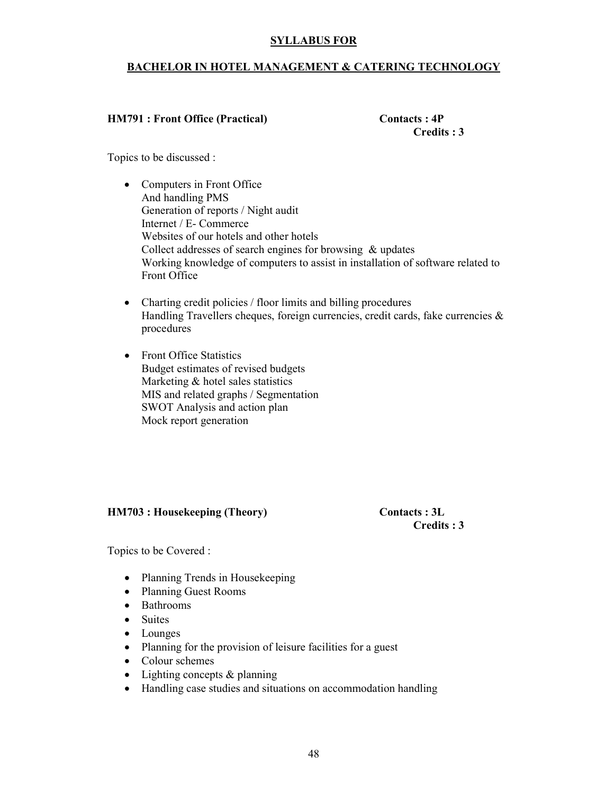#### BACHELOR IN HOTEL MANAGEMENT & CATERING TECHNOLOGY

#### HM791 : Front Office (Practical) Contacts : 4P

Credits : 3

Topics to be discussed :

- Computers in Front Office And handling PMS Generation of reports / Night audit Internet / E- Commerce Websites of our hotels and other hotels Collect addresses of search engines for browsing & updates Working knowledge of computers to assist in installation of software related to Front Office
- Charting credit policies / floor limits and billing procedures Handling Travellers cheques, foreign currencies, credit cards, fake currencies  $\&$ procedures
- Front Office Statistics Budget estimates of revised budgets Marketing & hotel sales statistics MIS and related graphs / Segmentation SWOT Analysis and action plan Mock report generation

#### HM703 : Housekeeping (Theory) Contacts : 3L

Credits : 3

Topics to be Covered :

- Planning Trends in Housekeeping
- Planning Guest Rooms
- Bathrooms
- Suites
- Lounges
- Planning for the provision of leisure facilities for a guest
- Colour schemes
- Lighting concepts & planning
- Handling case studies and situations on accommodation handling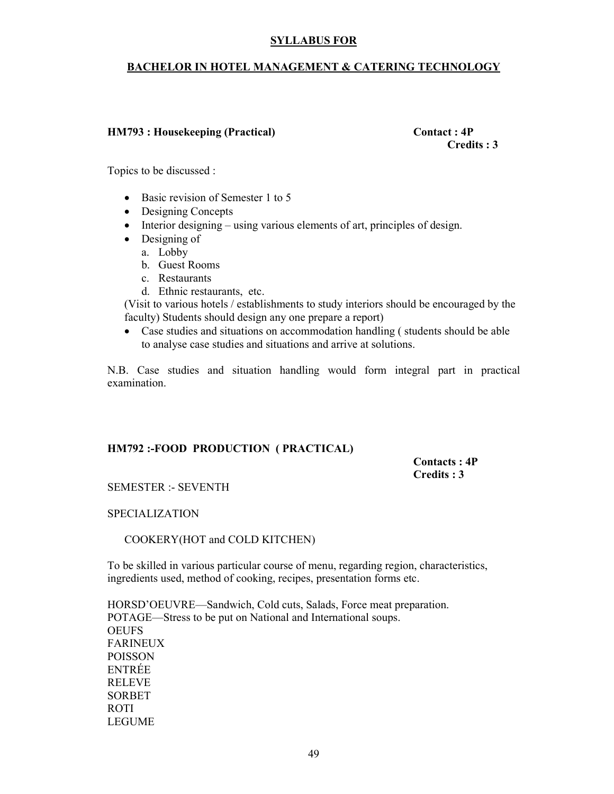#### BACHELOR IN HOTEL MANAGEMENT & CATERING TECHNOLOGY

#### HM793 : Housekeeping (Practical) Contact : 4P

Credits : 3

Topics to be discussed :

- Basic revision of Semester 1 to 5
- Designing Concepts
- Interior designing using various elements of art, principles of design.
- Designing of
	- a. Lobby
	- b. Guest Rooms
	- c. Restaurants
	- d. Ethnic restaurants, etc.

(Visit to various hotels / establishments to study interiors should be encouraged by the faculty) Students should design any one prepare a report)

• Case studies and situations on accommodation handling ( students should be able to analyse case studies and situations and arrive at solutions.

N.B. Case studies and situation handling would form integral part in practical examination.

#### HM792 :-FOOD PRODUCTION ( PRACTICAL)

 Contacts : 4P Credits : 3

SEMESTER :- SEVENTH

#### SPECIALIZATION

COOKERY(HOT and COLD KITCHEN)

To be skilled in various particular course of menu, regarding region, characteristics, ingredients used, method of cooking, recipes, presentation forms etc.

HORSD'OEUVRE—Sandwich, Cold cuts, Salads, Force meat preparation. POTAGE—Stress to be put on National and International soups. **OEUFS** FARINEUX POISSON ENTRÉE RELEVE SORBET ROTI LEGUME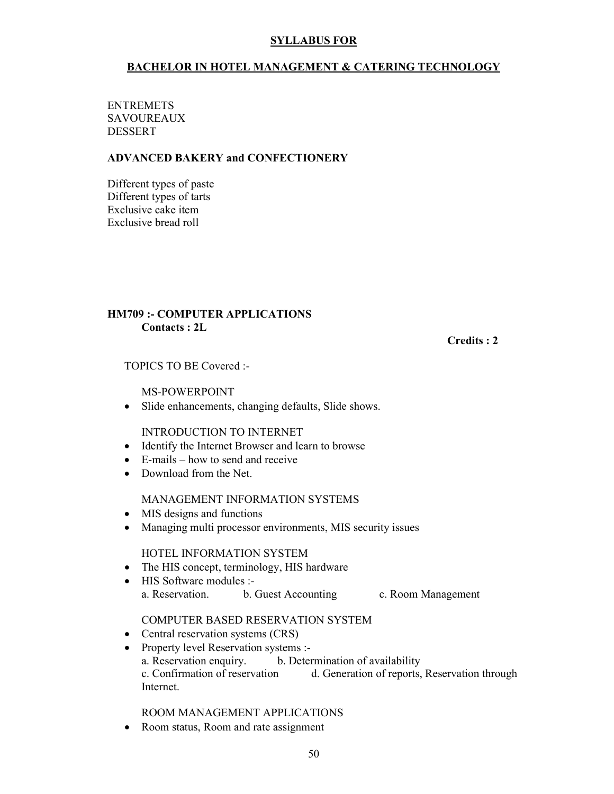#### BACHELOR IN HOTEL MANAGEMENT & CATERING TECHNOLOGY

#### **ENTREMETS SAVOUREAUX** DESSERT

#### ADVANCED BAKERY and CONFECTIONERY

Different types of paste Different types of tarts Exclusive cake item Exclusive bread roll

#### HM709 :- COMPUTER APPLICATIONS Contacts : 2L

Credits : 2

TOPICS TO BE Covered :-

MS-POWERPOINT

• Slide enhancements, changing defaults, Slide shows.

INTRODUCTION TO INTERNET

- Identify the Internet Browser and learn to browse
- E-mails how to send and receive
- Download from the Net.

#### MANAGEMENT INFORMATION SYSTEMS

- MIS designs and functions
- Managing multi processor environments, MIS security issues

#### HOTEL INFORMATION SYSTEM

- The HIS concept, terminology, HIS hardware
- HIS Software modules :a. Reservation. b. Guest Accounting c. Room Management

#### COMPUTER BASED RESERVATION SYSTEM

- Central reservation systems (CRS)
- Property level Reservation systems :a. Reservation enquiry. b. Determination of availability<br>c. Confirmation of reservation d. Generation of reports, d. Generation of reports, Reservation through Internet.

ROOM MANAGEMENT APPLICATIONS

• Room status, Room and rate assignment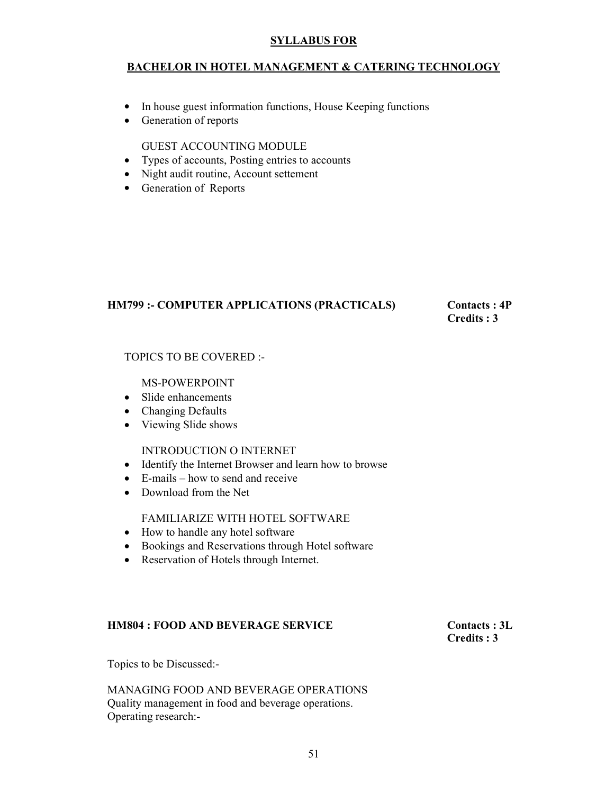#### BACHELOR IN HOTEL MANAGEMENT & CATERING TECHNOLOGY

- In house guest information functions, House Keeping functions
- Generation of reports

GUEST ACCOUNTING MODULE

- Types of accounts, Posting entries to accounts
- Night audit routine, Account settement
- Generation of Reports

#### HM799 :- COMPUTER APPLICATIONS (PRACTICALS) Contacts : 4P

# Credits : 3

#### TOPICS TO BE COVERED :-

#### MS-POWERPOINT

- Slide enhancements
- Changing Defaults
- Viewing Slide shows

#### INTRODUCTION O INTERNET

- Identify the Internet Browser and learn how to browse
- E-mails how to send and receive
- Download from the Net

#### FAMILIARIZE WITH HOTEL SOFTWARE

- How to handle any hotel software
- Bookings and Reservations through Hotel software
- Reservation of Hotels through Internet.

#### HM804 : FOOD AND BEVERAGE SERVICE Contacts : 3L

# Credits : 3

Topics to be Discussed:-

MANAGING FOOD AND BEVERAGE OPERATIONS Quality management in food and beverage operations. Operating research:-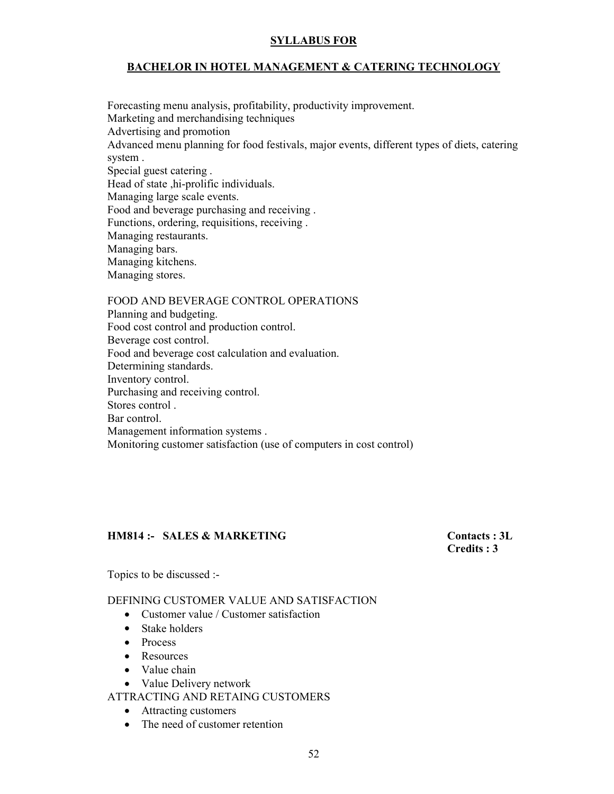#### BACHELOR IN HOTEL MANAGEMENT & CATERING TECHNOLOGY

Forecasting menu analysis, profitability, productivity improvement. Marketing and merchandising techniques Advertising and promotion Advanced menu planning for food festivals, major events, different types of diets, catering system . Special guest catering . Head of state ,hi-prolific individuals. Managing large scale events. Food and beverage purchasing and receiving . Functions, ordering, requisitions, receiving . Managing restaurants. Managing bars. Managing kitchens. Managing stores.

FOOD AND BEVERAGE CONTROL OPERATIONS Planning and budgeting. Food cost control and production control. Beverage cost control. Food and beverage cost calculation and evaluation. Determining standards. Inventory control. Purchasing and receiving control. Stores control . Bar control. Management information systems . Monitoring customer satisfaction (use of computers in cost control)

#### HM814 :- SALES & MARKETING Contacts : 3L

Credits : 3

Topics to be discussed :-

DEFINING CUSTOMER VALUE AND SATISFACTION

- Customer value / Customer satisfaction
- Stake holders
- Process
- Resources
- Value chain
- Value Delivery network

ATTRACTING AND RETAING CUSTOMERS

- Attracting customers
- The need of customer retention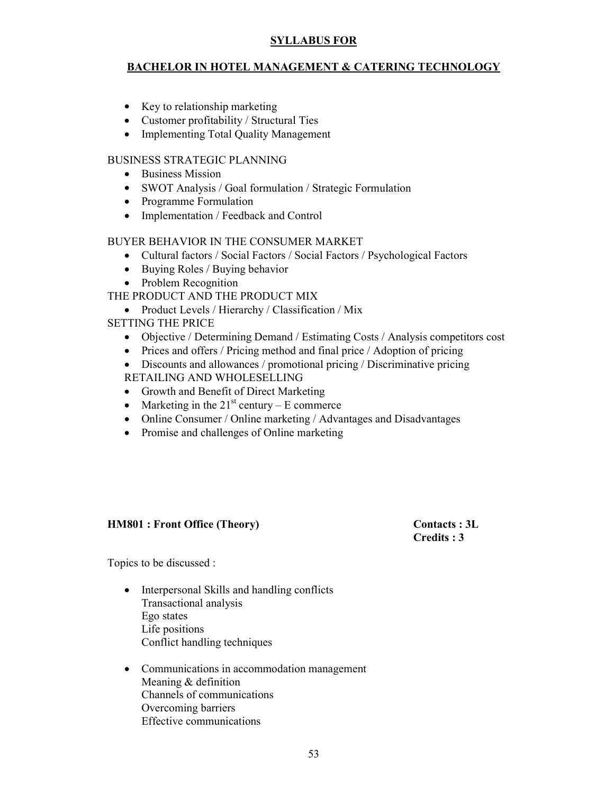#### BACHELOR IN HOTEL MANAGEMENT & CATERING TECHNOLOGY

- Key to relationship marketing
- Customer profitability / Structural Ties
- Implementing Total Quality Management

#### BUSINESS STRATEGIC PLANNING

- Business Mission
- SWOT Analysis / Goal formulation / Strategic Formulation
- Programme Formulation
- Implementation / Feedback and Control

#### BUYER BEHAVIOR IN THE CONSUMER MARKET

- Cultural factors / Social Factors / Social Factors / Psychological Factors
- Buying Roles / Buying behavior
- Problem Recognition
- THE PRODUCT AND THE PRODUCT MIX
	- Product Levels / Hierarchy / Classification / Mix
- SETTING THE PRICE
	- Objective / Determining Demand / Estimating Costs / Analysis competitors cost
	- Prices and offers / Pricing method and final price / Adoption of pricing
	- Discounts and allowances / promotional pricing / Discriminative pricing
	- RETAILING AND WHOLESELLING
	- Growth and Benefit of Direct Marketing
	- Marketing in the  $21^{st}$  century E commerce
	- Online Consumer / Online marketing / Advantages and Disadvantages
	- Promise and challenges of Online marketing

#### HM801 : Front Office (Theory) Contacts : 3L

Credits : 3

Topics to be discussed :

- Interpersonal Skills and handling conflicts Transactional analysis Ego states Life positions Conflict handling techniques
- Communications in accommodation management Meaning & definition Channels of communications Overcoming barriers Effective communications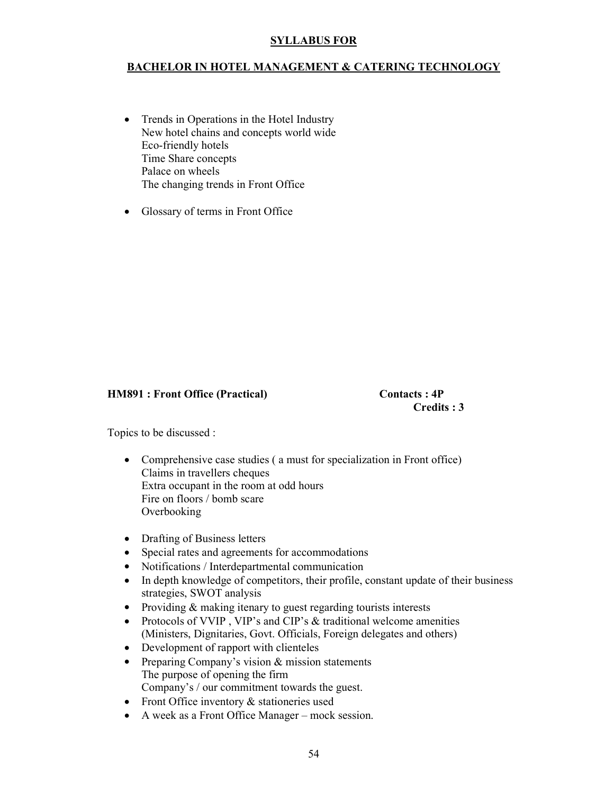#### BACHELOR IN HOTEL MANAGEMENT & CATERING TECHNOLOGY

- Trends in Operations in the Hotel Industry New hotel chains and concepts world wide Eco-friendly hotels Time Share concepts Palace on wheels The changing trends in Front Office
- Glossary of terms in Front Office

#### HM891 : Front Office (Practical) Contacts : 4P

Credits : 3

Topics to be discussed :

- Comprehensive case studies ( a must for specialization in Front office) Claims in travellers cheques Extra occupant in the room at odd hours Fire on floors / bomb scare Overbooking
- Drafting of Business letters
- Special rates and agreements for accommodations
- Notifications / Interdepartmental communication
- In depth knowledge of competitors, their profile, constant update of their business strategies, SWOT analysis
- Providing & making itenary to guest regarding tourists interests
- Protocols of VVIP, VIP's and CIP's & traditional welcome amenities (Ministers, Dignitaries, Govt. Officials, Foreign delegates and others)
- Development of rapport with clienteles
- Preparing Company's vision & mission statements The purpose of opening the firm Company's / our commitment towards the guest.
- Front Office inventory  $\&$  stationeries used
- A week as a Front Office Manager mock session.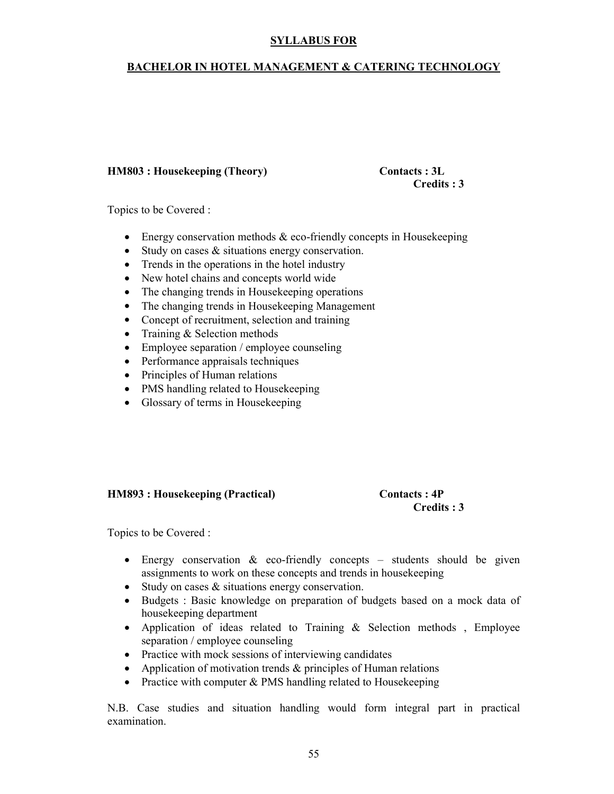#### BACHELOR IN HOTEL MANAGEMENT & CATERING TECHNOLOGY

#### HM803 : Housekeeping (Theory) Contacts : 3L

# Credits : 3

Topics to be Covered :

- Energy conservation methods  $&$  eco-friendly concepts in Housekeeping
- Study on cases & situations energy conservation.
- Trends in the operations in the hotel industry
- New hotel chains and concepts world wide
- The changing trends in Housekeeping operations
- The changing trends in Housekeeping Management
- Concept of recruitment, selection and training
- Training & Selection methods
- Employee separation / employee counseling
- Performance appraisals techniques
- Principles of Human relations
- PMS handling related to Housekeeping
- Glossary of terms in Housekeeping

#### HM893 : Housekeeping (Practical) Contacts : 4P

### Credits : 3

Topics to be Covered :

- Energy conservation  $\&$  eco-friendly concepts students should be given assignments to work on these concepts and trends in housekeeping
- Study on cases & situations energy conservation.
- Budgets : Basic knowledge on preparation of budgets based on a mock data of housekeeping department
- Application of ideas related to Training & Selection methods , Employee separation / employee counseling
- Practice with mock sessions of interviewing candidates
- Application of motivation trends & principles of Human relations
- Practice with computer & PMS handling related to Housekeeping

N.B. Case studies and situation handling would form integral part in practical examination.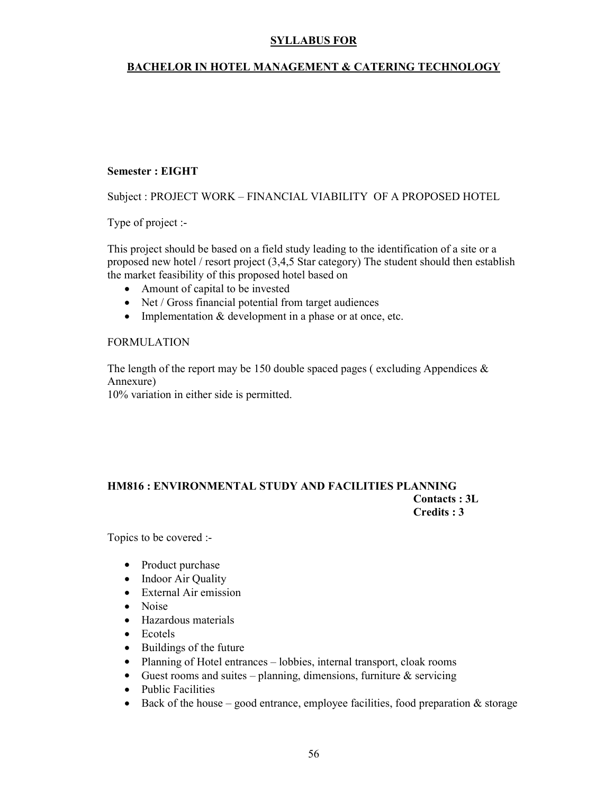#### BACHELOR IN HOTEL MANAGEMENT & CATERING TECHNOLOGY

#### Semester : EIGHT

Subject : PROJECT WORK – FINANCIAL VIABILITY OF A PROPOSED HOTEL

Type of project :-

This project should be based on a field study leading to the identification of a site or a proposed new hotel / resort project (3,4,5 Star category) The student should then establish the market feasibility of this proposed hotel based on

- Amount of capital to be invested
- Net / Gross financial potential from target audiences
- Implementation & development in a phase or at once, etc.

#### FORMULATION

The length of the report may be 150 double spaced pages (excluding Appendices  $\&$ Annexure)

10% variation in either side is permitted.

#### HM816 : ENVIRONMENTAL STUDY AND FACILITIES PLANNING Contacts : 3L Credits : 3

Topics to be covered :-

- Product purchase
- Indoor Air Quality
- External Air emission
- Noise
- Hazardous materials
- Ecotels
- Buildings of the future
- Planning of Hotel entrances lobbies, internal transport, cloak rooms
- Guest rooms and suites planning, dimensions, furniture  $\&$  servicing
- Public Facilities
- Back of the house good entrance, employee facilities, food preparation  $&$  storage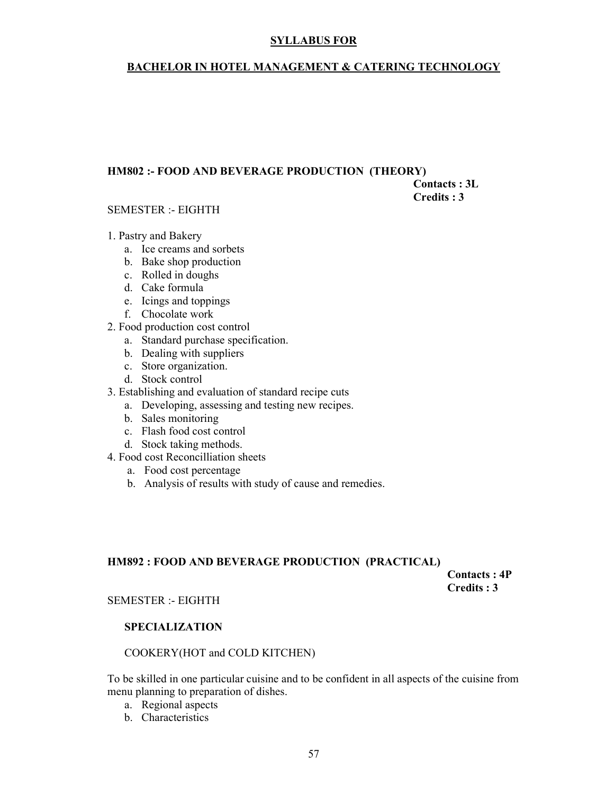#### BACHELOR IN HOTEL MANAGEMENT & CATERING TECHNOLOGY

#### HM802 :- FOOD AND BEVERAGE PRODUCTION (THEORY)

 Contacts : 3L Credits : 3

#### SEMESTER :- EIGHTH

- 1. Pastry and Bakery
	- a. Ice creams and sorbets
	- b. Bake shop production
	- c. Rolled in doughs
	- d. Cake formula
	- e. Icings and toppings
	- f. Chocolate work
- 2. Food production cost control
	- a. Standard purchase specification.
	- b. Dealing with suppliers
	- c. Store organization.
	- d. Stock control
- 3. Establishing and evaluation of standard recipe cuts
	- a. Developing, assessing and testing new recipes.
	- b. Sales monitoring
	- c. Flash food cost control
	- d. Stock taking methods.
- 4. Food cost Reconcilliation sheets
	- a. Food cost percentage
	- b. Analysis of results with study of cause and remedies.

#### HM892 : FOOD AND BEVERAGE PRODUCTION (PRACTICAL)

 Contacts : 4P Credits : 3

#### SEMESTER :- EIGHTH

#### SPECIALIZATION

#### COOKERY(HOT and COLD KITCHEN)

To be skilled in one particular cuisine and to be confident in all aspects of the cuisine from menu planning to preparation of dishes.

- a. Regional aspects
- b. Characteristics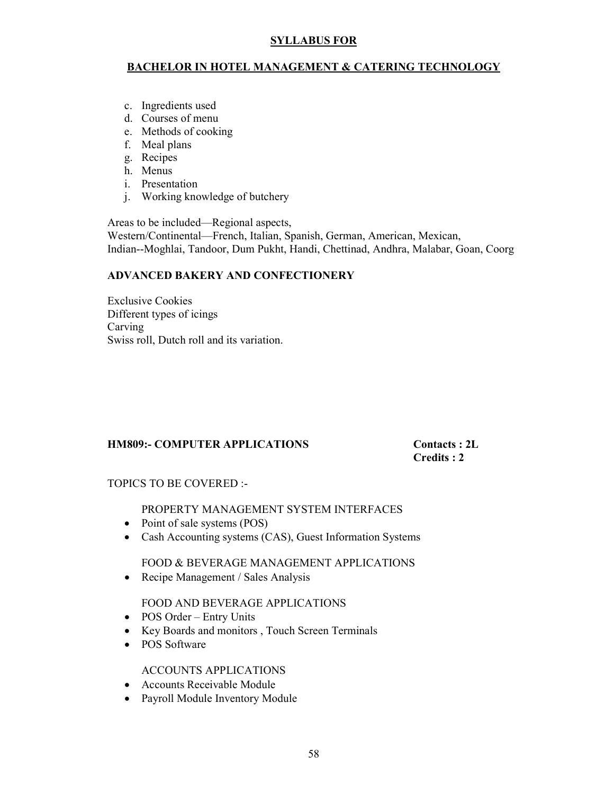#### BACHELOR IN HOTEL MANAGEMENT & CATERING TECHNOLOGY

- c. Ingredients used
- d. Courses of menu
- e. Methods of cooking
- f. Meal plans
- g. Recipes
- h. Menus
- i. Presentation
- j. Working knowledge of butchery

Areas to be included—Regional aspects,

Western/Continental—French, Italian, Spanish, German, American, Mexican, Indian--Moghlai, Tandoor, Dum Pukht, Handi, Chettinad, Andhra, Malabar, Goan, Coorg

#### ADVANCED BAKERY AND CONFECTIONERY

Exclusive Cookies Different types of icings Carving Swiss roll, Dutch roll and its variation.

#### HM809:- COMPUTER APPLICATIONS Contacts : 2L

Credits : 2

TOPICS TO BE COVERED :-

#### PROPERTY MANAGEMENT SYSTEM INTERFACES

- Point of sale systems (POS)
- Cash Accounting systems (CAS), Guest Information Systems

FOOD & BEVERAGE MANAGEMENT APPLICATIONS

• Recipe Management / Sales Analysis

#### FOOD AND BEVERAGE APPLICATIONS

- POS Order Entry Units
- Key Boards and monitors , Touch Screen Terminals
- POS Software

#### ACCOUNTS APPLICATIONS

- Accounts Receivable Module
- Payroll Module Inventory Module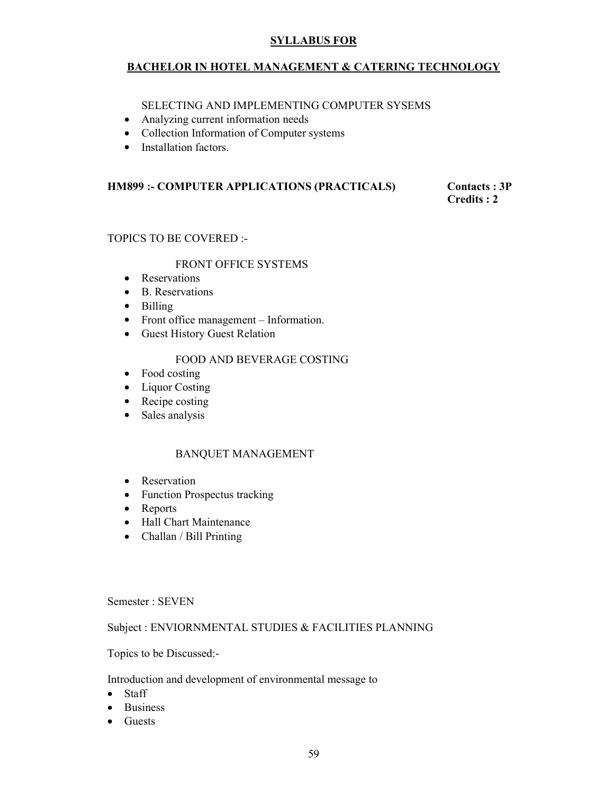#### BACHELOR IN HOTEL MANAGEMENT & CATERING TECHNOLOGY

SELECTING AND IMPLEMENTING COMPUTER SYSEMS

- Analyzing current information needs
- Collection Information of Computer systems
- Installation factors.

### HM899 :- COMPUTER APPLICATIONS (PRACTICALS) Contacts : 3P<br>Credits : 2

Credits : 2

#### TOPICS TO BE COVERED :-

#### FRONT OFFICE SYSTEMS

- Reservations
- B. Reservations
- Billing
- Front office management Information.
- Guest History Guest Relation

#### FOOD AND BEVERAGE COSTING

- Food costing
- Liquor Costing
- Recipe costing
- Sales analysis

#### BANQUET MANAGEMENT

- Reservation
- Function Prospectus tracking
- Reports
- Hall Chart Maintenance
- Challan / Bill Printing

Semester : SEVEN

#### Subject : ENVIORNMENTAL STUDIES & FACILITIES PLANNING

Topics to be Discussed:-

Introduction and development of environmental message to

- Staff
- Business
- Guests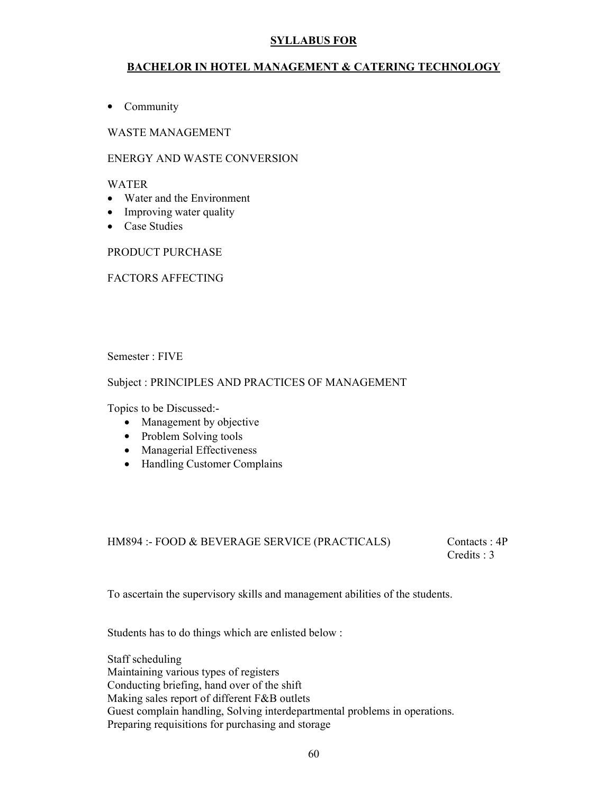#### BACHELOR IN HOTEL MANAGEMENT & CATERING TECHNOLOGY

• Community

WASTE MANAGEMENT

#### ENERGY AND WASTE CONVERSION

#### WATER

- Water and the Environment
- Improving water quality
- Case Studies

PRODUCT PURCHASE

#### FACTORS AFFECTING

Semester : FIVE

#### Subject : PRINCIPLES AND PRACTICES OF MANAGEMENT

Topics to be Discussed:-

- Management by objective
- Problem Solving tools
- Managerial Effectiveness
- Handling Customer Complains

#### HM894 :- FOOD & BEVERAGE SERVICE (PRACTICALS) Contacts : 4P

Credits : 3

To ascertain the supervisory skills and management abilities of the students.

Students has to do things which are enlisted below :

Staff scheduling Maintaining various types of registers Conducting briefing, hand over of the shift Making sales report of different F&B outlets Guest complain handling, Solving interdepartmental problems in operations. Preparing requisitions for purchasing and storage